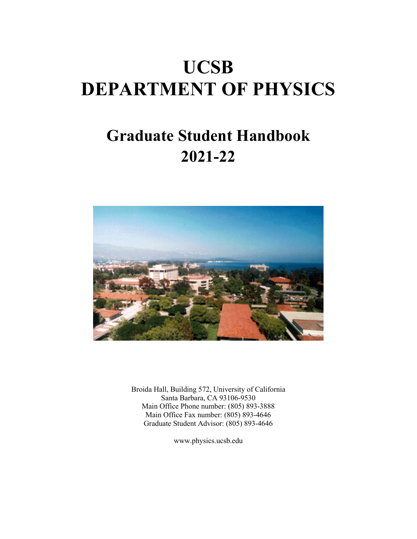# **UCSB DEPARTMENT OF PHYSICS**

## **Graduate Student Handbook 2021-22**



Broida Hall, Building 572, University of California Santa Barbara, CA 93106-9530 Main Office Phone number: (805) 893-3888 Main Office Fax number: (805) 893-4646 Graduate Student Advisor: (805) 893-4646

www.physics.ucsb.edu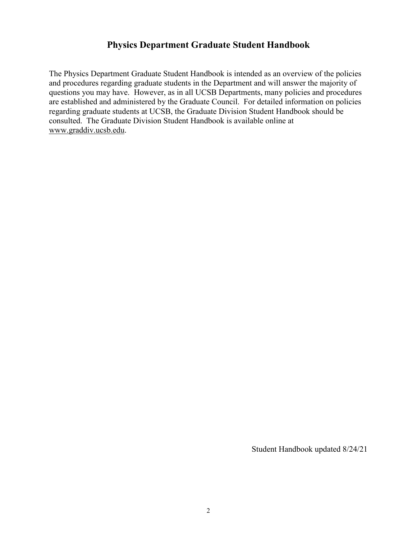#### **Physics Department Graduate Student Handbook**

The Physics Department Graduate Student Handbook is intended as an overview of the policies and procedures regarding graduate students in the Department and will answer the majority of questions you may have. However, as in all UCSB Departments, many policies and procedures are established and administered by the Graduate Council. For detailed information on policies regarding graduate students at UCSB, the Graduate Division Student Handbook should be consulted. The Graduate Division Student Handbook is available online at [www.graddiv.ucsb.edu.](http://www.graddiv.ucsb.edu/)

Student Handbook updated 8/24/21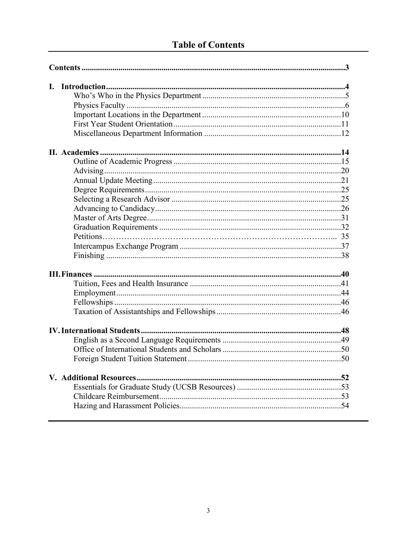## **Table of Contents**

| I. |  |  |
|----|--|--|
|    |  |  |
|    |  |  |
|    |  |  |
|    |  |  |
|    |  |  |
|    |  |  |
|    |  |  |
|    |  |  |
|    |  |  |
|    |  |  |
|    |  |  |
|    |  |  |
|    |  |  |
|    |  |  |
|    |  |  |
|    |  |  |
|    |  |  |
|    |  |  |
|    |  |  |
|    |  |  |
|    |  |  |
|    |  |  |
|    |  |  |
|    |  |  |
|    |  |  |
|    |  |  |
|    |  |  |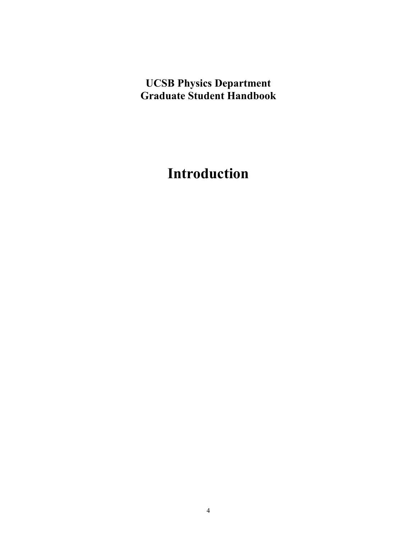## **UCSB Physics Department Graduate Student Handbook**

## **Introduction**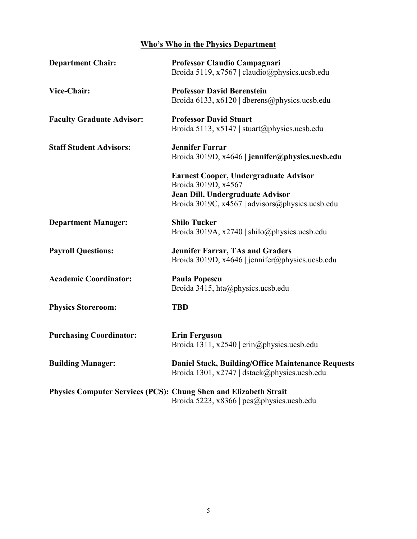#### **Who's Who in the Physics Department**

| <b>Department Chair:</b>                                                | Professor Claudio Campagnari<br>Broida 5119, x7567   claudio@physics.ucsb.edu                                                                       |
|-------------------------------------------------------------------------|-----------------------------------------------------------------------------------------------------------------------------------------------------|
| Vice-Chair:                                                             | <b>Professor David Berenstein</b><br>Broida 6133, x6120   dberens@physics.ucsb.edu                                                                  |
| <b>Faculty Graduate Advisor:</b>                                        | <b>Professor David Stuart</b><br>Broida 5113, x5147   stuart@physics.ucsb.edu                                                                       |
| <b>Staff Student Advisors:</b>                                          | <b>Jennifer Farrar</b><br>Broida 3019D, x4646   jennifer@physics.ucsb.edu                                                                           |
|                                                                         | Earnest Cooper, Undergraduate Advisor<br>Broida 3019D, x4567<br>Jean Dill, Undergraduate Advisor<br>Broida 3019C, x4567   advisors@physics.ucsb.edu |
| <b>Department Manager:</b>                                              | <b>Shilo Tucker</b><br>Broida 3019A, x2740   shilo@physics.ucsb.edu                                                                                 |
| <b>Payroll Questions:</b>                                               | <b>Jennifer Farrar, TAs and Graders</b><br>Broida 3019D, x4646   jennifer@physics.ucsb.edu                                                          |
| <b>Academic Coordinator:</b>                                            | Paula Popescu<br>Broida 3415, hta@physics.ucsb.edu                                                                                                  |
| <b>Physics Storeroom:</b>                                               | <b>TBD</b>                                                                                                                                          |
| <b>Purchasing Coordinator:</b>                                          | <b>Erin Ferguson</b><br>Broida 1311, x2540   erin@physics.ucsb.edu                                                                                  |
| <b>Building Manager:</b>                                                | <b>Daniel Stack, Building/Office Maintenance Requests</b><br>Broida 1301, x2747   dstack@physics.ucsb.edu                                           |
| <b>Physics Computer Services (PCS): Chung Shen and Elizabeth Strait</b> | Broida 5223, x8366   pcs@physics.ucsb.edu                                                                                                           |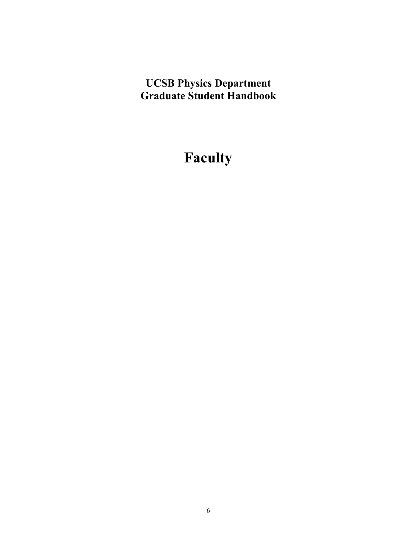## **UCSB Physics Department Graduate Student Handbook**

## **Faculty**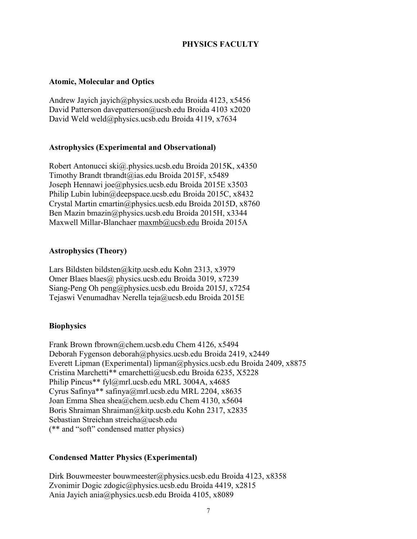#### **PHYSICS FACULTY**

#### **Atomic, Molecular and Optics**

Andrew Jayich jayich@physics.ucsb.edu Broida 4123, x5456 David Patterson davepatterson@ucsb.edu Broida 4103 x2020 David Weld weld@physics.ucsb.edu Broida 4119, x7634

#### **Astrophysics (Experimental and Observational)**

Robert Antonucci ski@.physics.ucsb.edu Broida 2015K, x4350 Timothy Brandt tbrandt@ias.edu Broida 2015F, x5489 Joseph Hennawi joe@physics.ucsb.edu Broida 2015E x3503 Philip Lubin lubin@deepspace.ucsb.edu Broida 2015C, x8432 Crystal Martin cmartin@physics.ucsb.edu Broida 2015D, x8760 Ben Mazin bmazin@physics.ucsb.edu Broida 2015H, x3344 Maxwell Millar-Blanchaer [maxmb@ucsb.edu](mailto:maxmb@ucsb.edu) Broida 2015A

#### **Astrophysics (Theory)**

Lars Bildsten bildsten@kitp.ucsb.edu Kohn 2313, x3979 Omer Blaes blaes@ physics.ucsb.edu Broida 3019, x7239 Siang-Peng Oh peng@physics.ucsb.edu Broida 2015J, x7254 Tejaswi Venumadhav Nerella teja@ucsb.edu Broida 2015E

#### **Biophysics**

Frank Brown fbrown@chem.ucsb.edu Chem 4126, x5494 Deborah Fygenson deborah@physics.ucsb.edu Broida 2419, x2449 Everett Lipman (Experimental) lipman@physics.ucsb.edu Broida 2409, x8875 Cristina Marchetti\*\* cmarchetti@ucsb.edu Broida 6235, X5228 Philip Pincus\*\* fyl@mrl.ucsb.edu MRL 3004A, x4685 Cyrus Safinya\*\* safinya@mrl.ucsb.edu MRL 2204, x8635 Joan Emma Shea shea@chem.ucsb.edu Chem 4130, x5604 Boris Shraiman Shraiman@kitp.ucsb.edu Kohn 2317, x2835 Sebastian Streichan streicha@ucsb.edu (\*\* and "soft" condensed matter physics)

#### **Condensed Matter Physics (Experimental)**

Dirk Bouwmeester bouwmeester@physics.ucsb.edu Broida 4123, x8358 Zvonimir Dogic zdogic@physics.ucsb.edu Broida 4419, x2815 Ania Jayich ania@physics.ucsb.edu Broida 4105, x8089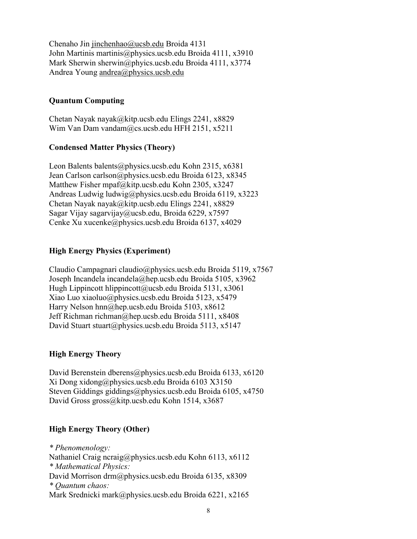Chenaho Jin [jinchenhao@ucsb.edu](mailto:jinchenhao@ucsb.edu) Broida 4131 John Martinis martinis@physics.ucsb.edu Broida 4111, x3910 Mark Sherwin sherwin@phyics.ucsb.edu Broida 4111, x3774 Andrea Young [andrea@physics.ucsb.edu](mailto:andrea@physics.ucsb.edu)

#### **Quantum Computing**

Chetan Nayak nayak@kitp.ucsb.edu Elings 2241, x8829 Wim Van Dam vandam@cs.ucsb.edu HFH 2151, x5211

#### **Condensed Matter Physics (Theory)**

Leon Balents balents@physics.ucsb.edu Kohn 2315, x6381 Jean Carlson carlson@physics.ucsb.edu Broida 6123, x8345 Matthew Fisher mpaf@kitp.ucsb.edu Kohn 2305, x3247 Andreas Ludwig ludwig@physics.ucsb.edu Broida 6119, x3223 Chetan Nayak nayak@kitp.ucsb.edu Elings 2241, x8829 Sagar Vijay sagarvijay@ucsb.edu, Broida 6229, x7597 Cenke Xu xucenke@physics.ucsb.edu Broida 6137, x4029

#### **High Energy Physics (Experiment)**

Claudio Campagnari claudio@physics.ucsb.edu Broida 5119, x7567 Joseph Incandela incandela@hep.ucsb.edu Broida 5105, x3962 Hugh Lippincott hlippincott@ucsb.edu Broida 5131, x3061 Xiao Luo xiaoluo@physics.ucsb.edu Broida 5123, x5479 Harry Nelson hnn@hep.ucsb.edu Broida 5103, x8612 Jeff Richman richman@hep.ucsb.edu Broida 5111, x8408 David Stuart stuart@physics.ucsb.edu Broida 5113, x5147

#### **High Energy Theory**

David Berenstein dberens@physics.ucsb.edu Broida 6133, x6120 Xi Dong xidong@physics.ucsb.edu Broida 6103 X3150 Steven Giddings giddings@physics.ucsb.edu Broida 6105, x4750 David Gross gross@kitp.ucsb.edu Kohn 1514, x3687

#### **High Energy Theory (Other)**

*\* Phenomenology:*  Nathaniel Craig ncraig@physics.ucsb.edu Kohn 6113, x6112 *\* Mathematical Physics:*  David Morrison drm@physics.ucsb.edu Broida 6135, x8309 *\* Quantum chaos:*  Mark Srednicki mark@physics.ucsb.edu Broida 6221, x2165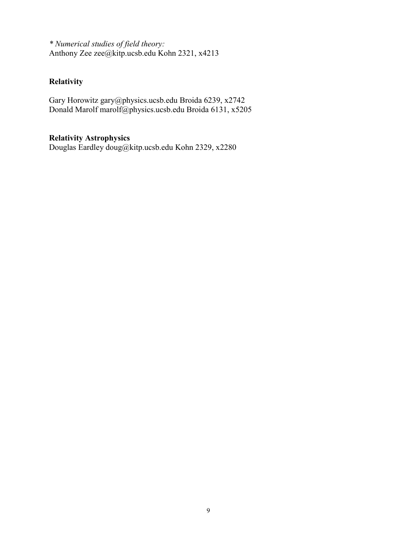*\* Numerical studies of field theory:*  Anthony Zee zee@kitp.ucsb.edu Kohn 2321, x4213

#### **Relativity**

Gary Horowitz gary@physics.ucsb.edu Broida 6239, x2742 Donald Marolf marolf@physics.ucsb.edu Broida 6131, x5205

#### **Relativity Astrophysics**

Douglas Eardley doug@kitp.ucsb.edu Kohn 2329, x2280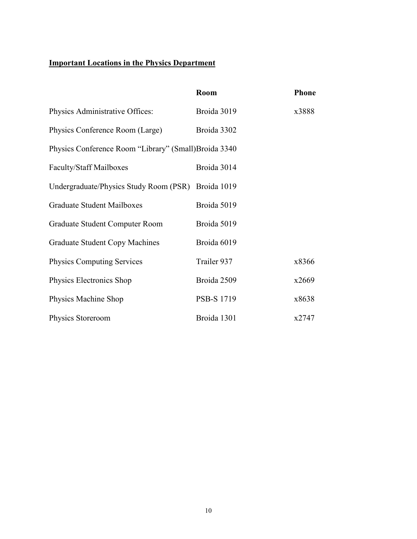### **Important Locations in the Physics Department**

|                                                       | Room        | <b>Phone</b> |
|-------------------------------------------------------|-------------|--------------|
| Physics Administrative Offices:                       | Broida 3019 | x3888        |
| Physics Conference Room (Large)                       | Broida 3302 |              |
| Physics Conference Room "Library" (Small) Broida 3340 |             |              |
| <b>Faculty/Staff Mailboxes</b>                        | Broida 3014 |              |
| Undergraduate/Physics Study Room (PSR) Broida 1019    |             |              |
| Graduate Student Mailboxes                            | Broida 5019 |              |
| Graduate Student Computer Room                        | Broida 5019 |              |
| Graduate Student Copy Machines                        | Broida 6019 |              |
| <b>Physics Computing Services</b>                     | Trailer 937 | x8366        |
| Physics Electronics Shop                              | Broida 2509 | x2669        |
| Physics Machine Shop                                  | PSB-S 1719  | x8638        |
| Physics Storeroom                                     | Broida 1301 | x2747        |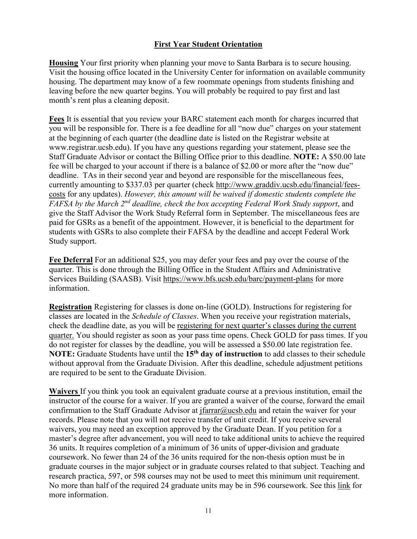#### **First Year Student Orientation**

**Housing** Your first priority when planning your move to Santa Barbara is to secure housing. Visit the housing office located in the University Center for information on available community housing. The department may know of a few roommate openings from students finishing and leaving before the new quarter begins. You will probably be required to pay first and last month's rent plus a cleaning deposit.

**Fees** It is essential that you review your BARC statement each month for charges incurred that you will be responsible for. There is a fee deadline for all "now due" charges on your statement at the beginning of each quarter (the deadline date is listed on the Registrar website at www.registrar.ucsb.edu). If you have any questions regarding your statement, please see the Staff Graduate Advisor or contact the Billing Office prior to this deadline. **NOTE:** A \$50.00 late fee will be charged to your account if there is a balance of \$2.00 or more after the "now due" deadline. TAs in their second year and beyond are responsible for the miscellaneous fees, currently amounting to \$337.03 per quarter (check [http://www.graddiv.ucsb.edu/financial/fees](http://www.graddiv.ucsb.edu/financial/fees-costs)[costs](http://www.graddiv.ucsb.edu/financial/fees-costs) for any updates). *However, this amount will be waived if domestic students complete the FAFSA by the March 2nd deadline, check the box accepting Federal Work Study support*, and give the Staff Advisor the Work Study Referral form in September. The miscellaneous fees are paid for GSRs as a benefit of the appointment. However, it is beneficial to the department for students with GSRs to also complete their FAFSA by the deadline and accept Federal Work Study support.

**Fee Deferral** For an additional \$25, you may defer your fees and pay over the course of the quarter. This is done through the Billing Office in the Student Affairs and Administrative Services Building (SAASB). Visit<https://www.bfs.ucsb.edu/barc/payment-plans> for more information.

**Registration** Registering for classes is done on-line (GOLD). Instructions for registering for classes are located in the *Schedule of Classes*. When you receive your registration materials, check the deadline date, as you will be registering for next quarter's classes during the current quarter. You should register as soon as your pass time opens. Check GOLD for pass times. If you do not register for classes by the deadline, you will be assessed a \$50.00 late registration fee. **NOTE:** Graduate Students have until the **15th day of instruction** to add classes to their schedule without approval from the Graduate Division. After this deadline, schedule adjustment petitions are required to be sent to the Graduate Division.

**Waivers** If you think you took an equivalent graduate course at a previous institution, email the instructor of the course for a waiver. If you are granted a waiver of the course, forward the email confirmation to the Staff Graduate Advisor at [jfarrar@ucsb.edu](mailto:jfarrar@ucsb.edu) and retain the waiver for your records. Please note that you will not receive transfer of unit credit. If you receive several waivers, you may need an exception approved by the Graduate Dean. If you petition for a master's degree after advancement, you will need to take additional units to achieve the required 36 units. It requires completion of a minimum of 36 units of upper-division and graduate coursework. No fewer than 24 of the 36 units required for the non-thesis option must be in graduate courses in the major subject or in graduate courses related to that subject. Teaching and research practica, 597, or 598 courses may not be used to meet this minimum unit requirement. No more than half of the required 24 graduate units may be in 596 coursework. See this [link](https://my.sa.ucsb.edu/catalog/Current/GraduateEducation/MastersDegreeReqs.aspx) for more information.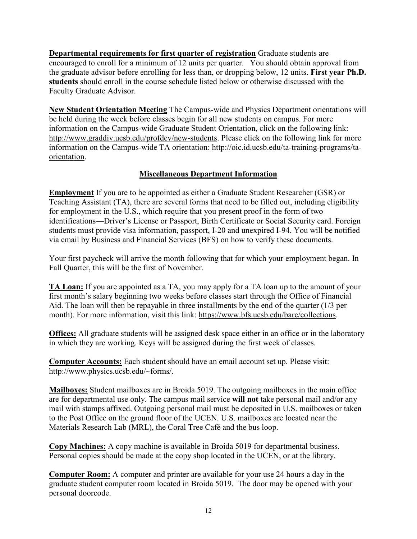**Departmental requirements for first quarter of registration** Graduate students are encouraged to enroll for a minimum of 12 units per quarter. You should obtain approval from the graduate advisor before enrolling for less than, or dropping below, 12 units. **First year Ph.D. students** should enroll in the course schedule listed below or otherwise discussed with the Faculty Graduate Advisor.

**New Student Orientation Meeting** The Campus-wide and Physics Department orientations will be held during the week before classes begin for all new students on campus. For more information on the Campus-wide Graduate Student Orientation, click on the following link: [http://www.graddiv.ucsb.edu/profdev/new-students.](http://www.graddiv.ucsb.edu/profdev/new-students) Please click on the following link for more information on the Campus-wide TA orientation: [http://oic.id.ucsb.edu/ta-training-programs/ta](http://oic.id.ucsb.edu/ta-training-programs/ta-orientation)[orientation.](http://oic.id.ucsb.edu/ta-training-programs/ta-orientation)

#### **Miscellaneous Department Information**

**Employment** If you are to be appointed as either a Graduate Student Researcher (GSR) or Teaching Assistant (TA), there are several forms that need to be filled out, including eligibility for employment in the U.S., which require that you present proof in the form of two identifications—Driver's License or Passport, Birth Certificate or Social Security card. Foreign students must provide visa information, passport, I-20 and unexpired I-94. You will be notified via email by Business and Financial Services (BFS) on how to verify these documents.

Your first paycheck will arrive the month following that for which your employment began. In Fall Quarter, this will be the first of November.

**TA Loan:** If you are appointed as a TA, you may apply for a TA loan up to the amount of your first month's salary beginning two weeks before classes start through the Office of Financial Aid. The loan will then be repayable in three installments by the end of the quarter (1/3 per month). For more information, visit this link: [https://www.bfs.ucsb.edu/barc/collections.](https://www.bfs.ucsb.edu/barc/collections)

**Offices:** All graduate students will be assigned desk space either in an office or in the laboratory in which they are working. Keys will be assigned during the first week of classes.

**Computer Accounts:** Each student should have an email account set up. Please visit: [http://www.physics.ucsb.edu/~forms/.](http://www.physics.ucsb.edu/%7Eforms/)

**Mailboxes:** Student mailboxes are in Broida 5019. The outgoing mailboxes in the main office are for departmental use only. The campus mail service **will not** take personal mail and/or any mail with stamps affixed. Outgoing personal mail must be deposited in U.S. mailboxes or taken to the Post Office on the ground floor of the UCEN. U.S. mailboxes are located near the Materials Research Lab (MRL), the Coral Tree Café and the bus loop.

**Copy Machines:** A copy machine is available in Broida 5019 for departmental business. Personal copies should be made at the copy shop located in the UCEN, or at the library.

**Computer Room:** A computer and printer are available for your use 24 hours a day in the graduate student computer room located in Broida 5019. The door may be opened with your personal doorcode.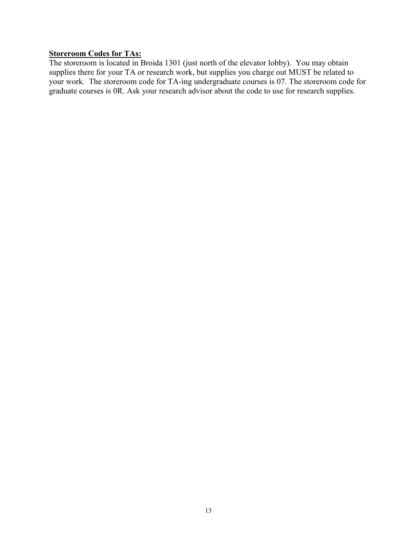#### **Storeroom Codes for TAs:**

The storeroom is located in Broida 1301 (just north of the elevator lobby). You may obtain supplies there for your TA or research work, but supplies you charge out MUST be related to your work. The storeroom code for TA-ing undergraduate courses is 07. The storeroom code for graduate courses is 0R. Ask your research advisor about the code to use for research supplies.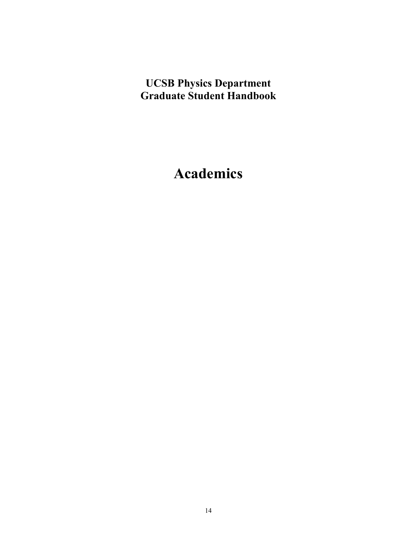## **UCSB Physics Department Graduate Student Handbook**

## **Academics**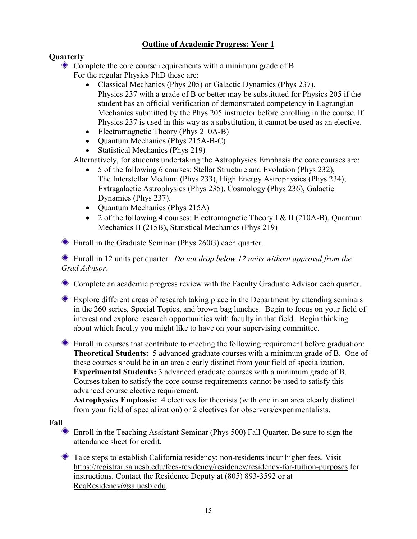#### **Outline of Academic Progress: Year 1**

#### **Quarterly**

- Complete the core course requirements with a minimum grade of B For the regular Physics PhD these are:
	- Classical Mechanics (Phys 205) or Galactic Dynamics (Phys 237). Physics 237 with a grade of B or better may be substituted for Physics 205 if the student has an official verification of demonstrated competency in Lagrangian Mechanics submitted by the Phys 205 instructor before enrolling in the course. If Physics 237 is used in this way as a substitution, it cannot be used as an elective.
	- Electromagnetic Theory (Phys 210A-B)
	- Quantum Mechanics (Phys 215A-B-C)
	- Statistical Mechanics (Phys 219)

Alternatively, for students undertaking the Astrophysics Emphasis the core courses are:

- 5 of the following 6 courses: Stellar Structure and Evolution (Phys 232), The Interstellar Medium (Phys 233), High Energy Astrophysics (Phys 234), Extragalactic Astrophysics (Phys 235), Cosmology (Phys 236), Galactic Dynamics (Phys 237).
- Ouantum Mechanics (Phys 215A)
- 2 of the following 4 courses: Electromagnetic Theory I & II (210A-B), Quantum Mechanics II (215B), Statistical Mechanics (Phys 219)

Enroll in the Graduate Seminar (Phys 260G) each quarter.

Enroll in 12 units per quarter. *Do not drop below 12 units without approval from the Grad Advisor*.

Complete an academic progress review with the Faculty Graduate Advisor each quarter.

Explore different areas of research taking place in the Department by attending seminars in the 260 series, Special Topics, and brown bag lunches. Begin to focus on your field of interest and explore research opportunities with faculty in that field. Begin thinking about which faculty you might like to have on your supervising committee.

Enroll in courses that contribute to meeting the following requirement before graduation: **Theoretical Students:** 5 advanced graduate courses with a minimum grade of B. One of these courses should be in an area clearly distinct from your field of specialization. **Experimental Students:** 3 advanced graduate courses with a minimum grade of B. Courses taken to satisfy the core course requirements cannot be used to satisfy this advanced course elective requirement.

**Astrophysics Emphasis:** 4 electives for theorists (with one in an area clearly distinct from your field of specialization) or 2 electives for observers/experimentalists.

#### **Fall**

Enroll in the Teaching Assistant Seminar (Phys 500) Fall Quarter. Be sure to sign the attendance sheet for credit.

Take steps to establish California residency; non-residents incur higher fees. Visit <https://registrar.sa.ucsb.edu/fees-residency/residency/residency-for-tuition-purposes> for instructions. Contact the Residence Deputy at (805) 893-3592 or at [ReqResidency@sa.ucsb.edu.](mailto:ReqResidency@sa.ucsb.edu)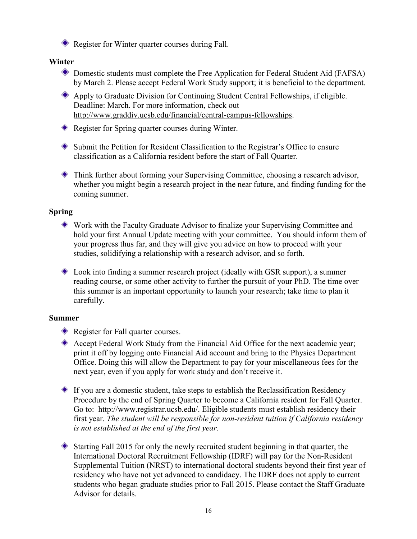Register for Winter quarter courses during Fall.

#### **Winter**

- Domestic students must complete the Free Application for Federal Student Aid (FAFSA) by March 2. Please accept Federal Work Study support; it is beneficial to the department.
- Apply to Graduate Division for Continuing Student Central Fellowships, if eligible. Deadline: March. For more information, check out [http://www.graddiv.ucsb.edu/financial/central-campus-fellowships.](http://www.graddiv.ucsb.edu/financial/central-campus-fellowships)
- Register for Spring quarter courses during Winter.
- Submit the Petition for Resident Classification to the Registrar's Office to ensure classification as a California resident before the start of Fall Quarter.
- Think further about forming your Supervising Committee, choosing a research advisor, whether you might begin a research project in the near future, and finding funding for the coming summer.

#### **Spring**

- Work with the Faculty Graduate Advisor to finalize your Supervising Committee and hold your first Annual Update meeting with your committee. You should inform them of your progress thus far, and they will give you advice on how to proceed with your studies, solidifying a relationship with a research advisor, and so forth.
- Look into finding a summer research project (ideally with GSR support), a summer reading course, or some other activity to further the pursuit of your PhD. The time over this summer is an important opportunity to launch your research; take time to plan it carefully.

#### **Summer**

- Register for Fall quarter courses.
- Accept Federal Work Study from the Financial Aid Office for the next academic year; print it off by logging onto Financial Aid account and bring to the Physics Department Office. Doing this will allow the Department to pay for your miscellaneous fees for the next year, even if you apply for work study and don't receive it.
- $\bullet$  If you are a domestic student, take steps to establish the Reclassification Residency Procedure by the end of Spring Quarter to become a California resident for Fall Quarter. Go to: [http://www.registrar.ucsb.edu/.](http://www.registrar.ucsb.edu/) Eligible students must establish residency their first year. *The student will be responsible for non-resident tuition if California residency is not established at the end of the first year.*
- Starting Fall 2015 for only the newly recruited student beginning in that quarter, the International Doctoral Recruitment Fellowship (IDRF) will pay for the Non-Resident Supplemental Tuition (NRST) to international doctoral students beyond their first year of residency who have not yet advanced to candidacy. The IDRF does not apply to current students who began graduate studies prior to Fall 2015. Please contact the Staff Graduate Advisor for details.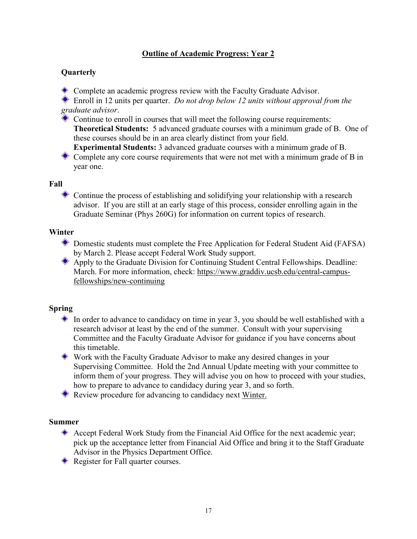#### **Outline of Academic Progress: Year 2**

#### **Quarterly**

Complete an academic progress review with the Faculty Graduate Advisor.

Enroll in 12 units per quarter. *Do not drop below 12 units without approval from the graduate advisor*.

Continue to enroll in courses that will meet the following course requirements: **Theoretical Students:** 5 advanced graduate courses with a minimum grade of B. One of these courses should be in an area clearly distinct from your field.

**Experimental Students:** 3 advanced graduate courses with a minimum grade of B. Complete any core course requirements that were not met with a minimum grade of B in year one.

#### **Fall**

Continue the process of establishing and solidifying your relationship with a research advisor. If you are still at an early stage of this process, consider enrolling again in the Graduate Seminar (Phys 260G) for information on current topics of research.

#### **Winter**

Domestic students must complete the Free Application for Federal Student Aid (FAFSA) by March 2. Please accept Federal Work Study support.

Apply to the Graduate Division for Continuing Student Central Fellowships. Deadline: March. For more information, check: [https://www.graddiv.ucsb.edu/central-campus](https://www.graddiv.ucsb.edu/central-campus-fellowships/new-continuing)[fellowships/new-continuing](https://www.graddiv.ucsb.edu/central-campus-fellowships/new-continuing)

#### **Spring**

- In order to advance to candidacy on time in year 3, you should be well established with a research advisor at least by the end of the summer. Consult with your supervising Committee and the Faculty Graduate Advisor for guidance if you have concerns about this timetable.
- Work with the Faculty Graduate Advisor to make any desired changes in your Supervising Committee. Hold the 2nd Annual Update meeting with your committee to inform them of your progress. They will advise you on how to proceed with your studies, how to prepare to advance to candidacy during year 3, and so forth.

Review procedure for advancing to candidacy next Winter.

#### **Summer**

- Accept Federal Work Study from the Financial Aid Office for the next academic year; pick up the acceptance letter from Financial Aid Office and bring it to the Staff Graduate Advisor in the Physics Department Office.
- Register for Fall quarter courses.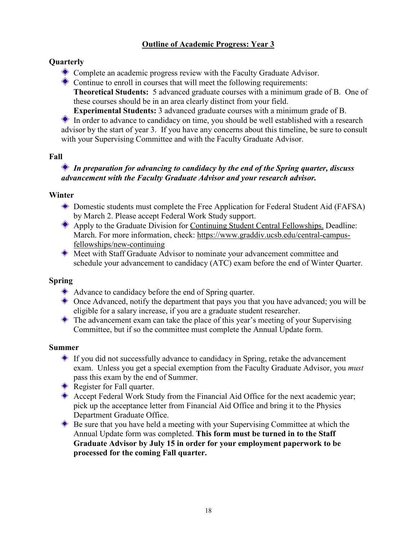#### **Outline of Academic Progress: Year 3**

#### **Quarterly**

Complete an academic progress review with the Faculty Graduate Advisor.

Continue to enroll in courses that will meet the following requirements: **Theoretical Students:** 5 advanced graduate courses with a minimum grade of B. One of these courses should be in an area clearly distinct from your field.

**Experimental Students:** 3 advanced graduate courses with a minimum grade of B.

In order to advance to candidacy on time, you should be well established with a research advisor by the start of year 3. If you have any concerns about this timeline, be sure to consult with your Supervising Committee and with the Faculty Graduate Advisor.

#### **Fall**

#### *In preparation for advancing to candidacy by the end of the Spring quarter, discuss advancement with the Faculty Graduate Advisor and your research advisor.*

#### **Winter**

- Domestic students must complete the Free Application for Federal Student Aid (FAFSA) by March 2. Please accept Federal Work Study support.
- Apply to the Graduate Division for Continuing Student Central Fellowships. Deadline: March. For more information, check: [https://www.graddiv.ucsb.edu/central-campus](https://www.graddiv.ucsb.edu/central-campus-fellowships/new-continuing)[fellowships/new-continuing](https://www.graddiv.ucsb.edu/central-campus-fellowships/new-continuing)
- Meet with Staff Graduate Advisor to nominate your advancement committee and schedule your advancement to candidacy (ATC) exam before the end of Winter Quarter.

#### **Spring**

- Advance to candidacy before the end of Spring quarter.
- Once Advanced, notify the department that pays you that you have advanced; you will be eligible for a salary increase, if you are a graduate student researcher.
- The advancement exam can take the place of this year's meeting of your Supervising Committee, but if so the committee must complete the Annual Update form.

#### **Summer**

- If you did not successfully advance to candidacy in Spring, retake the advancement exam. Unless you get a special exemption from the Faculty Graduate Advisor, you *must* pass this exam by the end of Summer.
- Register for Fall quarter.
- Accept Federal Work Study from the Financial Aid Office for the next academic year; pick up the acceptance letter from Financial Aid Office and bring it to the Physics Department Graduate Office.
- Be sure that you have held a meeting with your Supervising Committee at which the Annual Update form was completed. **This form must be turned in to the Staff Graduate Advisor by July 15 in order for your employment paperwork to be processed for the coming Fall quarter.**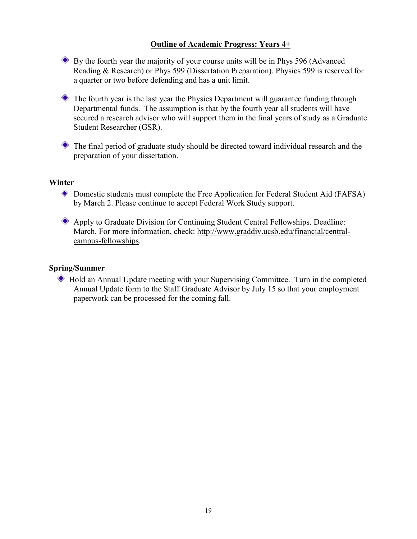#### **Outline of Academic Progress: Years 4+**

By the fourth year the majority of your course units will be in Phys 596 (Advanced Reading & Research) or Phys 599 (Dissertation Preparation). Physics 599 is reserved for a quarter or two before defending and has a unit limit.

The fourth year is the last year the Physics Department will guarantee funding through Departmental funds. The assumption is that by the fourth year all students will have secured a research advisor who will support them in the final years of study as a Graduate Student Researcher (GSR).

The final period of graduate study should be directed toward individual research and the preparation of your dissertation.

#### **Winter**

- Domestic students must complete the Free Application for Federal Student Aid (FAFSA) by March 2. Please continue to accept Federal Work Study support.
- Apply to Graduate Division for Continuing Student Central Fellowships. Deadline: March. For more information, check: [http://www.graddiv.ucsb.edu/financial/central](http://www.graddiv.ucsb.edu/financial/cont.htm)[campus-fellowships.](http://www.graddiv.ucsb.edu/financial/cont.htm)

#### **Spring/Summer**

 Hold an Annual Update meeting with your Supervising Committee. Turn in the completed Annual Update form to the Staff Graduate Advisor by July 15 so that your employment paperwork can be processed for the coming fall.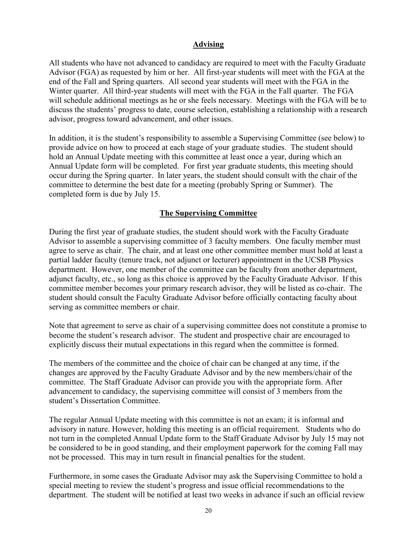#### **Advising**

All students who have not advanced to candidacy are required to meet with the Faculty Graduate Advisor (FGA) as requested by him or her. All first-year students will meet with the FGA at the end of the Fall and Spring quarters. All second year students will meet with the FGA in the Winter quarter. All third-year students will meet with the FGA in the Fall quarter. The FGA will schedule additional meetings as he or she feels necessary. Meetings with the FGA will be to discuss the students' progress to date, course selection, establishing a relationship with a research advisor, progress toward advancement, and other issues.

In addition, it is the student's responsibility to assemble a Supervising Committee (see below) to provide advice on how to proceed at each stage of your graduate studies. The student should hold an Annual Update meeting with this committee at least once a year, during which an Annual Update form will be completed. For first year graduate students, this meeting should occur during the Spring quarter. In later years, the student should consult with the chair of the committee to determine the best date for a meeting (probably Spring or Summer). The completed form is due by July 15.

#### **The Supervising Committee**

During the first year of graduate studies, the student should work with the Faculty Graduate Advisor to assemble a supervising committee of 3 faculty members. One faculty member must agree to serve as chair. The chair, and at least one other committee member must hold at least a partial ladder faculty (tenure track, not adjunct or lecturer) appointment in the UCSB Physics department. However, one member of the committee can be faculty from another department, adjunct faculty, etc., so long as this choice is approved by the Faculty Graduate Advisor. If this committee member becomes your primary research advisor, they will be listed as co-chair. The student should consult the Faculty Graduate Advisor before officially contacting faculty about serving as committee members or chair.

Note that agreement to serve as chair of a supervising committee does not constitute a promise to become the student's research advisor. The student and prospective chair are encouraged to explicitly discuss their mutual expectations in this regard when the committee is formed.

The members of the committee and the choice of chair can be changed at any time, if the changes are approved by the Faculty Graduate Advisor and by the new members/chair of the committee. The Staff Graduate Advisor can provide you with the appropriate form. After advancement to candidacy, the supervising committee will consist of 3 members from the student's Dissertation Committee.

The regular Annual Update meeting with this committee is not an exam; it is informal and advisory in nature. However, holding this meeting is an official requirement. Students who do not turn in the completed Annual Update form to the Staff Graduate Advisor by July 15 may not be considered to be in good standing, and their employment paperwork for the coming Fall may not be processed. This may in turn result in financial penalties for the student.

Furthermore, in some cases the Graduate Advisor may ask the Supervising Committee to hold a special meeting to review the student's progress and issue official recommendations to the department. The student will be notified at least two weeks in advance if such an official review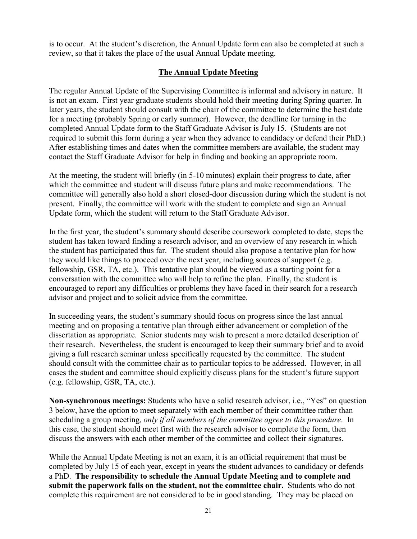is to occur. At the student's discretion, the Annual Update form can also be completed at such a review, so that it takes the place of the usual Annual Update meeting.

#### **The Annual Update Meeting**

The regular Annual Update of the Supervising Committee is informal and advisory in nature. It is not an exam. First year graduate students should hold their meeting during Spring quarter. In later years, the student should consult with the chair of the committee to determine the best date for a meeting (probably Spring or early summer). However, the deadline for turning in the completed Annual Update form to the Staff Graduate Advisor is July 15. (Students are not required to submit this form during a year when they advance to candidacy or defend their PhD.) After establishing times and dates when the committee members are available, the student may contact the Staff Graduate Advisor for help in finding and booking an appropriate room.

At the meeting, the student will briefly (in 5-10 minutes) explain their progress to date, after which the committee and student will discuss future plans and make recommendations. The committee will generally also hold a short closed-door discussion during which the student is not present. Finally, the committee will work with the student to complete and sign an Annual Update form, which the student will return to the Staff Graduate Advisor.

In the first year, the student's summary should describe coursework completed to date, steps the student has taken toward finding a research advisor, and an overview of any research in which the student has participated thus far. The student should also propose a tentative plan for how they would like things to proceed over the next year, including sources of support (e.g. fellowship, GSR, TA, etc.). This tentative plan should be viewed as a starting point for a conversation with the committee who will help to refine the plan. Finally, the student is encouraged to report any difficulties or problems they have faced in their search for a research advisor and project and to solicit advice from the committee.

In succeeding years, the student's summary should focus on progress since the last annual meeting and on proposing a tentative plan through either advancement or completion of the dissertation as appropriate. Senior students may wish to present a more detailed description of their research. Nevertheless, the student is encouraged to keep their summary brief and to avoid giving a full research seminar unless specifically requested by the committee. The student should consult with the committee chair as to particular topics to be addressed. However, in all cases the student and committee should explicitly discuss plans for the student's future support (e.g. fellowship, GSR, TA, etc.).

**Non-synchronous meetings:** Students who have a solid research advisor, i.e., "Yes" on question 3 below, have the option to meet separately with each member of their committee rather than scheduling a group meeting, *only if all members of the committee agree to this procedure*. In this case, the student should meet first with the research advisor to complete the form, then discuss the answers with each other member of the committee and collect their signatures.

While the Annual Update Meeting is not an exam, it is an official requirement that must be completed by July 15 of each year, except in years the student advances to candidacy or defends a PhD. **The responsibility to schedule the Annual Update Meeting and to complete and submit the paperwork falls on the student, not the committee chair.** Students who do not complete this requirement are not considered to be in good standing. They may be placed on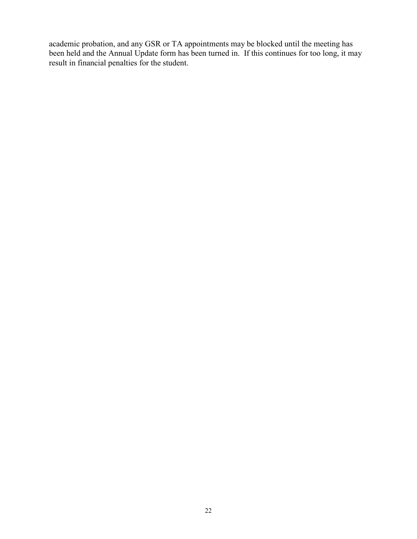academic probation, and any GSR or TA appointments may be blocked until the meeting has been held and the Annual Update form has been turned in. If this continues for too long, it may result in financial penalties for the student.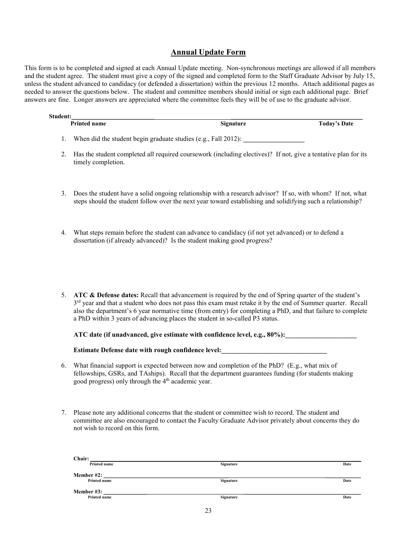#### **Annual Update Form**

This form is to be completed and signed at each Annual Update meeting. Non-synchronous meetings are allowed if all members and the student agree. The student must give a copy of the signed and completed form to the Staff Graduate Advisor by July 15, unless the student advanced to candidacy (or defended a dissertation) within the previous 12 months. Attach additional pages as needed to answer the questions below. The student and committee members should initial or sign each additional page. Brief answers are fine. Longer answers are appreciated where the committee feels they will be of use to the graduate advisor.

| <b>Printed name</b> | <b>Signature</b> | <b>Today's Date</b>                                                                                                                                                                                                                                                                                                                                                                                                                                                                                                                                                                                         |
|---------------------|------------------|-------------------------------------------------------------------------------------------------------------------------------------------------------------------------------------------------------------------------------------------------------------------------------------------------------------------------------------------------------------------------------------------------------------------------------------------------------------------------------------------------------------------------------------------------------------------------------------------------------------|
|                     |                  |                                                                                                                                                                                                                                                                                                                                                                                                                                                                                                                                                                                                             |
| timely completion.  |                  |                                                                                                                                                                                                                                                                                                                                                                                                                                                                                                                                                                                                             |
|                     |                  |                                                                                                                                                                                                                                                                                                                                                                                                                                                                                                                                                                                                             |
|                     |                  |                                                                                                                                                                                                                                                                                                                                                                                                                                                                                                                                                                                                             |
|                     |                  | Student:<br>When did the student begin graduate studies (e.g., Fall 2012):<br>Has the student completed all required coursework (including electives)? If not, give a tentative plan for its<br>Does the student have a solid ongoing relationship with a research advisor? If so, with whom? If not, what<br>steps should the student follow over the next year toward establishing and solidifying such a relationship?<br>What steps remain before the student can advance to candidacy (if not yet advanced) or to defend a<br>dissertation (if already advanced)? Is the student making good progress? |

5. **ATC & Defense dates:** Recall that advancement is required by the end of Spring quarter of the student's  $3<sup>rd</sup>$  year and that a student who does not pass this exam must retake it by the end of Summer quarter. Recall also the department's 6 year normative time (from entry) for completing a PhD, and that failure to complete a PhD within 3 years of advancing places the student in so-called P3 status.

**ATC date (if unadvanced, give estimate with confidence level, e.g., 80%):\_\_\_\_\_\_\_\_\_\_\_\_\_\_\_\_\_\_\_\_\_**

**Estimate Defense date with rough confidence level:** 

- 6. What financial support is expected between now and completion of the PhD? (E.g., what mix of fellowships, GSRs, and TAships). Recall that the department guarantees funding (for students making good progress) only through the 4<sup>th</sup> academic year.
- 7. Please note any additional concerns that the student or committee wish to record. The student and committee are also encouraged to contact the Faculty Graduate Advisor privately about concerns they do not wish to record on this form.

| Chair:       |           |      |
|--------------|-----------|------|
| Printed name | Signature | Date |
| Member #2:   |           |      |
| Printed name | Signature | Date |
| Member #3:   |           |      |
| Printed name | Signature | Date |
|              |           |      |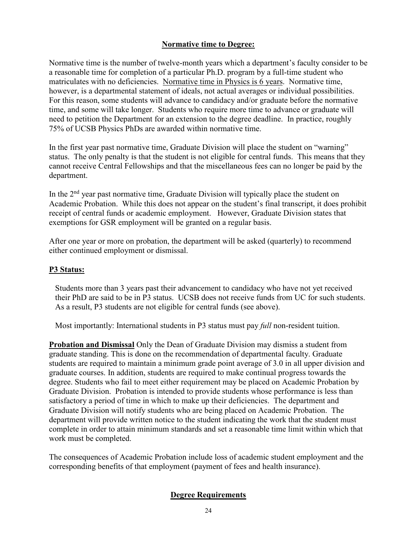#### **Normative time to Degree:**

Normative time is the number of twelve-month years which a department's faculty consider to be a reasonable time for completion of a particular Ph.D. program by a full-time student who matriculates with no deficiencies. Normative time in Physics is 6 years. Normative time, however, is a departmental statement of ideals, not actual averages or individual possibilities. For this reason, some students will advance to candidacy and/or graduate before the normative time, and some will take longer. Students who require more time to advance or graduate will need to petition the Department for an extension to the degree deadline. In practice, roughly 75% of UCSB Physics PhDs are awarded within normative time.

In the first year past normative time, Graduate Division will place the student on "warning" status. The only penalty is that the student is not eligible for central funds. This means that they cannot receive Central Fellowships and that the miscellaneous fees can no longer be paid by the department.

In the  $2<sup>nd</sup>$  year past normative time, Graduate Division will typically place the student on Academic Probation. While this does not appear on the student's final transcript, it does prohibit receipt of central funds or academic employment. However, Graduate Division states that exemptions for GSR employment will be granted on a regular basis.

After one year or more on probation, the department will be asked (quarterly) to recommend either continued employment or dismissal.

#### **P3 Status:**

Students more than 3 years past their advancement to candidacy who have not yet received their PhD are said to be in P3 status. UCSB does not receive funds from UC for such students. As a result, P3 students are not eligible for central funds (see above).

Most importantly: International students in P3 status must pay *full* non-resident tuition.

**Probation and Dismissal** Only the Dean of Graduate Division may dismiss a student from graduate standing. This is done on the recommendation of departmental faculty. Graduate students are required to maintain a minimum grade point average of 3.0 in all upper division and graduate courses. In addition, students are required to make continual progress towards the degree. Students who fail to meet either requirement may be placed on Academic Probation by Graduate Division. Probation is intended to provide students whose performance is less than satisfactory a period of time in which to make up their deficiencies. The department and Graduate Division will notify students who are being placed on Academic Probation. The department will provide written notice to the student indicating the work that the student must complete in order to attain minimum standards and set a reasonable time limit within which that work must be completed.

The consequences of Academic Probation include loss of academic student employment and the corresponding benefits of that employment (payment of fees and health insurance).

#### **Degree Requirements**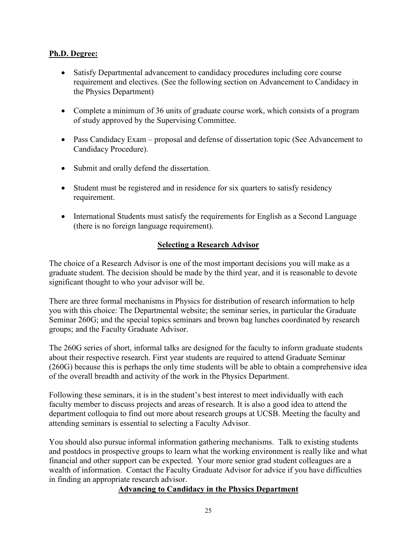#### **Ph.D. Degree:**

- Satisfy Departmental advancement to candidacy procedures including core course requirement and electives. (See the following section on Advancement to Candidacy in the Physics Department)
- Complete a minimum of 36 units of graduate course work, which consists of a program of study approved by the Supervising Committee.
- Pass Candidacy Exam proposal and defense of dissertation topic (See Advancement to Candidacy Procedure).
- Submit and orally defend the dissertation.
- Student must be registered and in residence for six quarters to satisfy residency requirement.
- International Students must satisfy the requirements for English as a Second Language (there is no foreign language requirement).

#### **Selecting a Research Advisor**

The choice of a Research Advisor is one of the most important decisions you will make as a graduate student. The decision should be made by the third year, and it is reasonable to devote significant thought to who your advisor will be.

There are three formal mechanisms in Physics for distribution of research information to help you with this choice: The Departmental website; the seminar series, in particular the Graduate Seminar 260G; and the special topics seminars and brown bag lunches coordinated by research groups; and the Faculty Graduate Advisor.

The 260G series of short, informal talks are designed for the faculty to inform graduate students about their respective research. First year students are required to attend Graduate Seminar (260G) because this is perhaps the only time students will be able to obtain a comprehensive idea of the overall breadth and activity of the work in the Physics Department.

Following these seminars, it is in the student's best interest to meet individually with each faculty member to discuss projects and areas of research. It is also a good idea to attend the department colloquia to find out more about research groups at UCSB. Meeting the faculty and attending seminars is essential to selecting a Faculty Advisor.

You should also pursue informal information gathering mechanisms. Talk to existing students and postdocs in prospective groups to learn what the working environment is really like and what financial and other support can be expected. Your more senior grad student colleagues are a wealth of information. Contact the Faculty Graduate Advisor for advice if you have difficulties in finding an appropriate research advisor.

#### **Advancing to Candidacy in the Physics Department**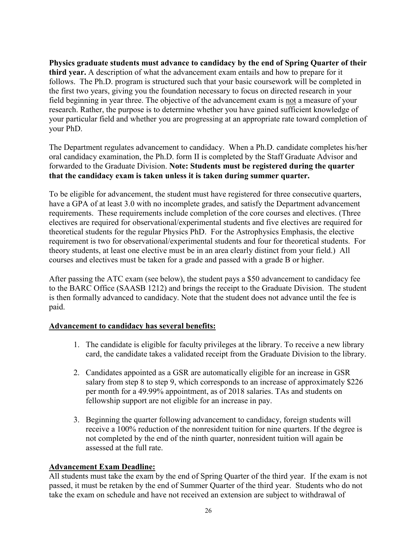**Physics graduate students must advance to candidacy by the end of Spring Quarter of their third year.** A description of what the advancement exam entails and how to prepare for it follows. The Ph.D. program is structured such that your basic coursework will be completed in the first two years, giving you the foundation necessary to focus on directed research in your field beginning in year three. The objective of the advancement exam is not a measure of your research. Rather, the purpose is to determine whether you have gained sufficient knowledge of your particular field and whether you are progressing at an appropriate rate toward completion of your PhD.

The Department regulates advancement to candidacy. When a Ph.D. candidate completes his/her oral candidacy examination, the Ph.D. form II is completed by the Staff Graduate Advisor and forwarded to the Graduate Division. **Note: Students must be registered during the quarter that the candidacy exam is taken unless it is taken during summer quarter.** 

To be eligible for advancement, the student must have registered for three consecutive quarters, have a GPA of at least 3.0 with no incomplete grades, and satisfy the Department advancement requirements. These requirements include completion of the core courses and electives. (Three electives are required for observational/experimental students and five electives are required for theoretical students for the regular Physics PhD. For the Astrophysics Emphasis, the elective requirement is two for observational/experimental students and four for theoretical students. For theory students, at least one elective must be in an area clearly distinct from your field.) All courses and electives must be taken for a grade and passed with a grade B or higher.

After passing the ATC exam (see below), the student pays a \$50 advancement to candidacy fee to the BARC Office (SAASB 1212) and brings the receipt to the Graduate Division. The student is then formally advanced to candidacy. Note that the student does not advance until the fee is paid.

#### **Advancement to candidacy has several benefits:**

- 1. The candidate is eligible for faculty privileges at the library. To receive a new library card, the candidate takes a validated receipt from the Graduate Division to the library.
- 2. Candidates appointed as a GSR are automatically eligible for an increase in GSR salary from step 8 to step 9, which corresponds to an increase of approximately \$226 per month for a 49.99% appointment, as of 2018 salaries. TAs and students on fellowship support are not eligible for an increase in pay.
- 3. Beginning the quarter following advancement to candidacy, foreign students will receive a 100% reduction of the nonresident tuition for nine quarters. If the degree is not completed by the end of the ninth quarter, nonresident tuition will again be assessed at the full rate.

#### **Advancement Exam Deadline:**

All students must take the exam by the end of Spring Quarter of the third year. If the exam is not passed, it must be retaken by the end of Summer Quarter of the third year. Students who do not take the exam on schedule and have not received an extension are subject to withdrawal of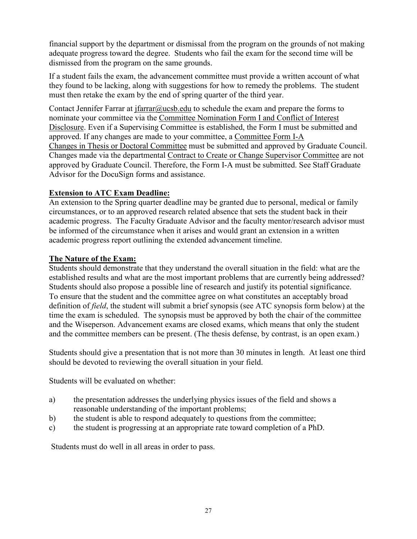financial support by the department or dismissal from the program on the grounds of not making adequate progress toward the degree. Students who fail the exam for the second time will be dismissed from the program on the same grounds.

If a student fails the exam, the advancement committee must provide a written account of what they found to be lacking, along with suggestions for how to remedy the problems. The student must then retake the exam by the end of spring quarter of the third year.

Contact Jennifer Farrar at  $\frac{i\arctan(\omega)}{\cosh(\omega)}$  to schedule the exam and prepare the forms to nominate your committee via the [Committee Nomination Form I and Conflict of Interest](https://www.graddiv.ucsb.edu/docs/default-source/academic-services-documents/formi-coi-05-19.pdf?sfvrsn=5eff6051_0)  [Disclosure.](https://www.graddiv.ucsb.edu/docs/default-source/academic-services-documents/formi-coi-05-19.pdf?sfvrsn=5eff6051_0) Even if a Supervising Committee is established, the Form I must be submitted and approved. If any changes are made to your committee, a [Committee Form I-A](https://www.graddiv.ucsb.edu/docs/default-source/academic-services-documents/form-ia-10-17.pdf?sfvrsn=87746151_0)  [Changes in Thesis or Doctoral Committee](https://www.graddiv.ucsb.edu/docs/default-source/academic-services-documents/form-ia-10-17.pdf?sfvrsn=87746151_0) must be submitted and approved by Graduate Council. Changes made via the departmental [Contract to Create or Change Supervisor Committee](https://www.physics.ucsb.edu/sites/secure.lsit.ucsb.edu.phys.d7/files/sitefiles/Contract%20to%20Create%20or%20Change%20a%20Supervising%20Committee_8_2_12.pdf) are not approved by Graduate Council. Therefore, the Form I-A must be submitted. See Staff Graduate Advisor for the DocuSign forms and assistance.

#### **Extension to ATC Exam Deadline:**

An extension to the Spring quarter deadline may be granted due to personal, medical or family circumstances, or to an approved research related absence that sets the student back in their academic progress. The Faculty Graduate Advisor and the faculty mentor/research advisor must be informed of the circumstance when it arises and would grant an extension in a written academic progress report outlining the extended advancement timeline.

#### **The Nature of the Exam:**

Students should demonstrate that they understand the overall situation in the field: what are the established results and what are the most important problems that are currently being addressed? Students should also propose a possible line of research and justify its potential significance. To ensure that the student and the committee agree on what constitutes an acceptably broad definition of *field*, the student will submit a brief synopsis (see ATC synopsis form below) at the time the exam is scheduled. The synopsis must be approved by both the chair of the committee and the Wiseperson. Advancement exams are closed exams, which means that only the student and the committee members can be present. (The thesis defense, by contrast, is an open exam.)

Students should give a presentation that is not more than 30 minutes in length. At least one third should be devoted to reviewing the overall situation in your field.

Students will be evaluated on whether:

- a) the presentation addresses the underlying physics issues of the field and shows a reasonable understanding of the important problems;
- b) the student is able to respond adequately to questions from the committee;
- c) the student is progressing at an appropriate rate toward completion of a PhD.

Students must do well in all areas in order to pass.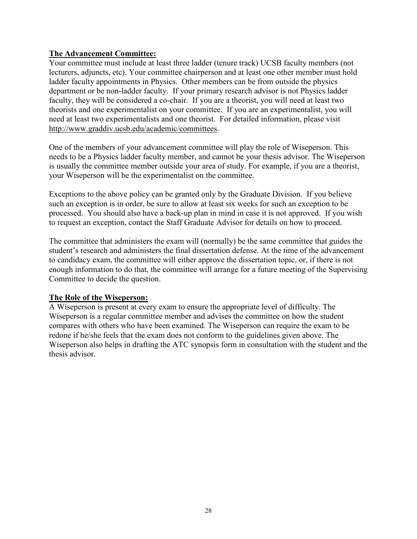#### **The Advancement Committee:**

Your committee must include at least three ladder (tenure track) UCSB faculty members (not lecturers, adjuncts, etc). Your committee chairperson and at least one other member must hold ladder faculty appointments in Physics. Other members can be from outside the physics department or be non-ladder faculty. If your primary research advisor is not Physics ladder faculty, they will be considered a co-chair. If you are a theorist, you will need at least two theorists and one experimentalist on your committee. If you are an experimentalist, you will need at least two experimentalists and one theorist. For detailed information, please visit [http://www.graddiv.ucsb.edu/academic/committees.](http://www.graddiv.ucsb.edu/academic/committees)

One of the members of your advancement committee will play the role of Wiseperson. This needs to be a Physics ladder faculty member, and cannot be your thesis advisor. The Wiseperson is usually the committee member outside your area of study. For example, if you are a theorist, your Wiseperson will be the experimentalist on the committee.

Exceptions to the above policy can be granted only by the Graduate Division. If you believe such an exception is in order, be sure to allow at least six weeks for such an exception to be processed. You should also have a back-up plan in mind in case it is not approved. If you wish to request an exception, contact the Staff Graduate Advisor for details on how to proceed.

The committee that administers the exam will (normally) be the same committee that guides the student's research and administers the final dissertation defense. At the time of the advancement to candidacy exam, the committee will either approve the dissertation topic, or, if there is not enough information to do that, the committee will arrange for a future meeting of the Supervising Committee to decide the question.

#### **The Role of the Wiseperson:**

A Wiseperson is present at every exam to ensure the appropriate level of difficulty. The Wiseperson is a regular committee member and advises the committee on how the student compares with others who have been examined. The Wiseperson can require the exam to be redone if he/she feels that the exam does not conform to the guidelines given above. The Wiseperson also helps in drafting the ATC synopsis form in consultation with the student and the thesis advisor.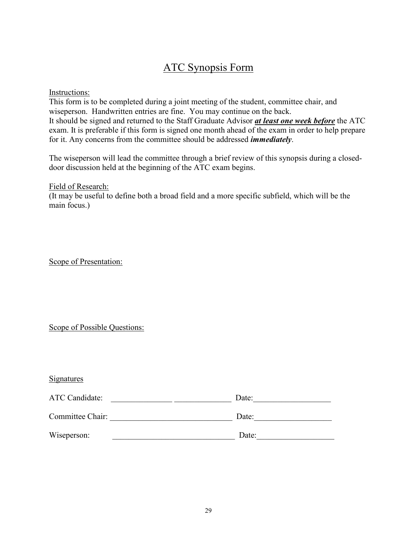### ATC Synopsis Form

Instructions:

This form is to be completed during a joint meeting of the student, committee chair, and wiseperson. Handwritten entries are fine. You may continue on the back. It should be signed and returned to the Staff Graduate Advisor *at least one week before* the ATC exam. It is preferable if this form is signed one month ahead of the exam in order to help prepare for it. Any concerns from the committee should be addressed *immediately*.

The wiseperson will lead the committee through a brief review of this synopsis during a closeddoor discussion held at the beginning of the ATC exam begins.

Field of Research:

(It may be useful to define both a broad field and a more specific subfield, which will be the main focus.)

Scope of Presentation:

Scope of Possible Questions:

| <b>Signatures</b>     |  |       |
|-----------------------|--|-------|
| <b>ATC Candidate:</b> |  | Date: |
| Committee Chair:      |  | Date: |
| Wiseperson:           |  | Date: |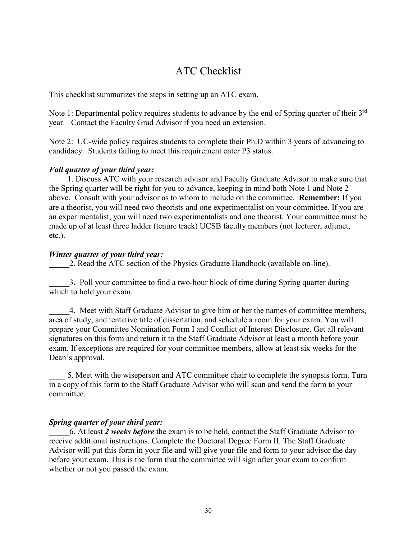### ATC Checklist

This checklist summarizes the steps in setting up an ATC exam.

Note 1: Departmental policy requires students to advance by the end of Spring quarter of their 3<sup>rd</sup> year. Contact the Faculty Grad Advisor if you need an extension.

Note 2: UC-wide policy requires students to complete their Ph.D within 3 years of advancing to candidacy. Students failing to meet this requirement enter P3 status.

#### *Fall quarter of your third year:*

1. Discuss ATC with your research advisor and Faculty Graduate Advisor to make sure that the Spring quarter will be right for you to advance, keeping in mind both Note 1 and Note 2 above. Consult with your advisor as to whom to include on the committee. **Remember:** If you are a theorist, you will need two theorists and one experimentalist on your committee. If you are an experimentalist, you will need two experimentalists and one theorist. Your committee must be made up of at least three ladder (tenure track) UCSB faculty members (not lecturer, adjunct, etc.).

#### *Winter quarter of your third year:*

2. Read the ATC section of the Physics Graduate Handbook (available on-line).

\_\_\_\_\_3. Poll your committee to find a two-hour block of time during Spring quarter during which to hold your exam.

4. Meet with Staff Graduate Advisor to give him or her the names of committee members, area of study, and tentative title of dissertation, and schedule a room for your exam. You will prepare your Committee Nomination Form I and Conflict of Interest Disclosure. Get all relevant signatures on this form and return it to the Staff Graduate Advisor at least a month before your exam. If exceptions are required for your committee members, allow at least six weeks for the Dean's approval.

\_\_\_\_ 5. Meet with the wiseperson and ATC committee chair to complete the synopsis form. Turn in a copy of this form to the Staff Graduate Advisor who will scan and send the form to your committee.

#### *Spring quarter of your third year:*

\_\_\_\_\_6. At least *2 weeks before* the exam is to be held, contact the Staff Graduate Advisor to receive additional instructions. Complete the Doctoral Degree Form II. The Staff Graduate Advisor will put this form in your file and will give your file and form to your advisor the day before your exam. This is the form that the committee will sign after your exam to confirm whether or not you passed the exam.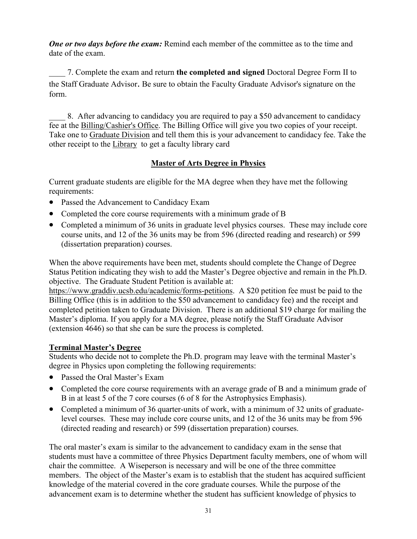*One or two days before the exam:* Remind each member of the committee as to the time and date of the exam.

\_\_\_\_ 7. Complete the exam and return **the completed and signed** Doctoral Degree Form II to the Staff Graduate Advisor. Be sure to obtain the Faculty Graduate Advisor's signature on the form.

8. After advancing to candidacy you are required to pay a \$50 advancement to candidacy fee at the [Billing/Cashier's Office.](https://www.bfs.ucsb.edu/barc/cashiers) The Billing Office will give you two copies of your receipt. Take one to [Graduate Division](http://www.graddiv.ucsb.edu/contact/) and tell them this is your advancement to candidacy fee. Take the other receipt to the [Library](https://www.library.ucsb.edu/) to get a faculty library card

#### **Master of Arts Degree in Physics**

Current graduate students are eligible for the MA degree when they have met the following requirements:

- Passed the Advancement to Candidacy Exam
- Completed the core course requirements with a minimum grade of B
- Completed a minimum of 36 units in graduate level physics courses. These may include core course units, and 12 of the 36 units may be from 596 (directed reading and research) or 599 (dissertation preparation) courses.

When the above requirements have been met, students should complete the Change of Degree Status Petition indicating they wish to add the Master's Degree objective and remain in the Ph.D. objective. The Graduate Student Petition is available at:

[https://www.graddiv.ucsb.edu/academic/forms-petitions.](https://www.graddiv.ucsb.edu/academic/forms-petitions) A \$20 petition fee must be paid to the Billing Office (this is in addition to the \$50 advancement to candidacy fee) and the receipt and completed petition taken to Graduate Division. There is an additional \$19 charge for mailing the Master's diploma. If you apply for a MA degree, please notify the Staff Graduate Advisor (extension 4646) so that she can be sure the process is completed.

#### **Terminal Master's Degree**

Students who decide not to complete the Ph.D. program may leave with the terminal Master's degree in Physics upon completing the following requirements:

- Passed the Oral Master's Exam
- Completed the core course requirements with an average grade of B and a minimum grade of B in at least 5 of the 7 core courses (6 of 8 for the Astrophysics Emphasis).
- Completed a minimum of 36 quarter-units of work, with a minimum of 32 units of graduatelevel courses. These may include core course units, and 12 of the 36 units may be from 596 (directed reading and research) or 599 (dissertation preparation) courses.

The oral master's exam is similar to the advancement to candidacy exam in the sense that students must have a committee of three Physics Department faculty members, one of whom will chair the committee. A Wiseperson is necessary and will be one of the three committee members. The object of the Master's exam is to establish that the student has acquired sufficient knowledge of the material covered in the core graduate courses. While the purpose of the advancement exam is to determine whether the student has sufficient knowledge of physics to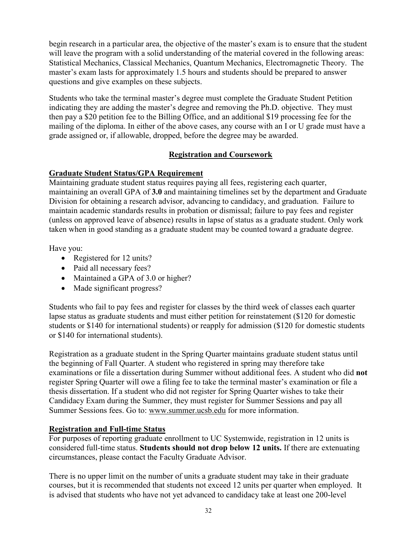begin research in a particular area, the objective of the master's exam is to ensure that the student will leave the program with a solid understanding of the material covered in the following areas: Statistical Mechanics, Classical Mechanics, Quantum Mechanics, Electromagnetic Theory. The master's exam lasts for approximately 1.5 hours and students should be prepared to answer questions and give examples on these subjects.

Students who take the terminal master's degree must complete the Graduate Student Petition indicating they are adding the master's degree and removing the Ph.D. objective. They must then pay a \$20 petition fee to the Billing Office, and an additional \$19 processing fee for the mailing of the diploma. In either of the above cases, any course with an I or U grade must have a grade assigned or, if allowable, dropped, before the degree may be awarded.

#### **Registration and Coursework**

#### **Graduate Student Status/GPA Requirement**

Maintaining graduate student status requires paying all fees, registering each quarter, maintaining an overall GPA of **3.0** and maintaining timelines set by the department and Graduate Division for obtaining a research advisor, advancing to candidacy, and graduation. Failure to maintain academic standards results in probation or dismissal; failure to pay fees and register (unless on approved leave of absence) results in lapse of status as a graduate student. Only work taken when in good standing as a graduate student may be counted toward a graduate degree.

Have you:

- Registered for 12 units?
- Paid all necessary fees?
- Maintained a GPA of 3.0 or higher?
- Made significant progress?

Students who fail to pay fees and register for classes by the third week of classes each quarter lapse status as graduate students and must either petition for reinstatement (\$120 for domestic students or \$140 for international students) or reapply for admission (\$120 for domestic students or \$140 for international students).

Registration as a graduate student in the Spring Quarter maintains graduate student status until the beginning of Fall Quarter. A student who registered in spring may therefore take examinations or file a dissertation during Summer without additional fees. A student who did **not** register Spring Quarter will owe a filing fee to take the terminal master's examination or file a thesis dissertation. If a student who did not register for Spring Quarter wishes to take their Candidacy Exam during the Summer, they must register for Summer Sessions and pay all Summer Sessions fees. Go to: [www.summer.ucsb.edu](http://www.summer.ucsb.edu/) for more information.

#### **Registration and Full-time Status**

For purposes of reporting graduate enrollment to UC Systemwide, registration in 12 units is considered full-time status. **Students should not drop below 12 units.** If there are extenuating circumstances, please contact the Faculty Graduate Advisor.

There is no upper limit on the number of units a graduate student may take in their graduate courses, but it is recommended that students not exceed 12 units per quarter when employed. It is advised that students who have not yet advanced to candidacy take at least one 200-level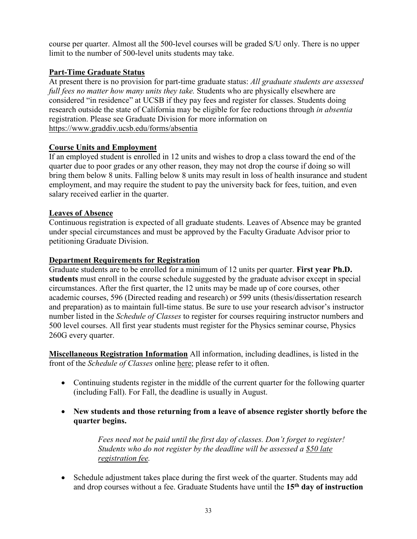course per quarter. Almost all the 500-level courses will be graded S/U only. There is no upper limit to the number of 500-level units students may take.

#### **Part-Time Graduate Status**

At present there is no provision for part-time graduate status: *All graduate students are assessed full fees no matter how many units they take.* Students who are physically elsewhere are considered "in residence" at UCSB if they pay fees and register for classes. Students doing research outside the state of California may be eligible for fee reductions through *in absentia* registration. Please see Graduate Division for more information on <https://www.graddiv.ucsb.edu/forms/absentia>

#### **Course Units and Employment**

If an employed student is enrolled in 12 units and wishes to drop a class toward the end of the quarter due to poor grades or any other reason, they may not drop the course if doing so will bring them below 8 units. Falling below 8 units may result in loss of health insurance and student employment, and may require the student to pay the university back for fees, tuition, and even salary received earlier in the quarter.

#### **Leaves of Absence**

Continuous registration is expected of all graduate students. Leaves of Absence may be granted under special circumstances and must be approved by the Faculty Graduate Advisor prior to petitioning Graduate Division.

#### **Department Requirements for Registration**

Graduate students are to be enrolled for a minimum of 12 units per quarter. **First year Ph.D. students** must enroll in the course schedule suggested by the graduate advisor except in special circumstances. After the first quarter, the 12 units may be made up of core courses, other academic courses, 596 (Directed reading and research) or 599 units (thesis/dissertation research and preparation) as to maintain full-time status. Be sure to use your research advisor's instructor number listed in the *Schedule of Classes* to register for courses requiring instructor numbers and 500 level courses. All first year students must register for the Physics seminar course, Physics 260G every quarter.

**Miscellaneous Registration Information** All information, including deadlines, is listed in the front of the *Schedule of Classes* online [here;](https://registrar.sa.ucsb.edu/fees-residency/fee-information/payment-deadlines/2021-2022-registration-fee-payment-deadlines) please refer to it often.

- Continuing students register in the middle of the current quarter for the following quarter (including Fall). For Fall, the deadline is usually in August.
- **New students and those returning from a leave of absence register shortly before the quarter begins.**

*Fees need not be paid until the first day of classes. Don't forget to register! Students who do not register by the deadline will be assessed a \$50 late registration fee.*

• Schedule adjustment takes place during the first week of the quarter. Students may add and drop courses without a fee. Graduate Students have until the **15th day of instruction**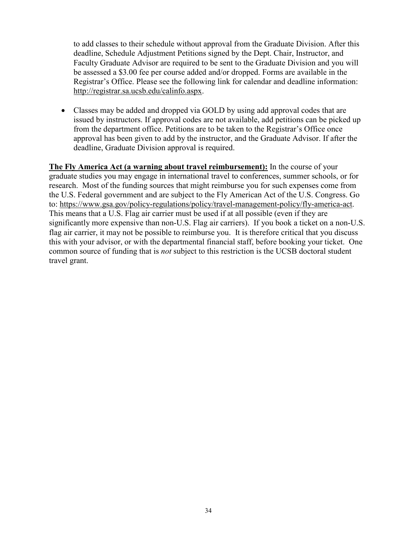to add classes to their schedule without approval from the Graduate Division. After this deadline, Schedule Adjustment Petitions signed by the Dept. Chair, Instructor, and Faculty Graduate Advisor are required to be sent to the Graduate Division and you will be assessed a \$3.00 fee per course added and/or dropped. Forms are available in the Registrar's Office. Please see the following link for calendar and deadline information: [http://registrar.sa.ucsb.edu/calinfo.aspx.](http://registrar.sa.ucsb.edu/calinfo.aspx)

• Classes may be added and dropped via GOLD by using add approval codes that are issued by instructors. If approval codes are not available, add petitions can be picked up from the department office. Petitions are to be taken to the Registrar's Office once approval has been given to add by the instructor, and the Graduate Advisor. If after the deadline, Graduate Division approval is required.

**The Fly America Act (a warning about travel reimbursement):** In the course of your graduate studies you may engage in international travel to conferences, summer schools, or for research. Most of the funding sources that might reimburse you for such expenses come from the U.S. Federal government and are subject to the Fly American Act of the U.S. Congress. Go to: [https://www.gsa.gov/policy-regulations/policy/travel-management-policy/fly-america-act.](https://www.gsa.gov/policy-regulations/policy/travel-management-policy/fly-america-act) This means that a U.S. Flag air carrier must be used if at all possible (even if they are significantly more expensive than non-U.S. Flag air carriers). If you book a ticket on a non-U.S. flag air carrier, it may not be possible to reimburse you. It is therefore critical that you discuss this with your advisor, or with the departmental financial staff, before booking your ticket. One common source of funding that is *not* subject to this restriction is the UCSB doctoral student travel grant.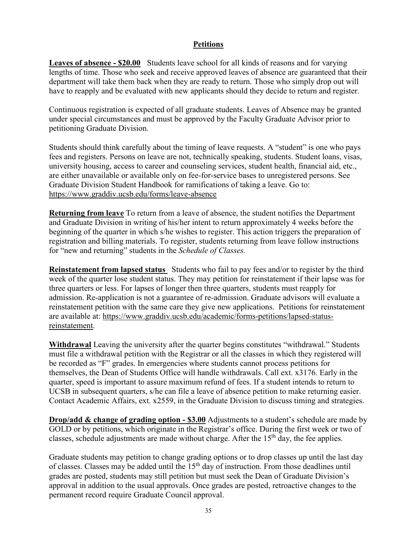#### **Petitions**

**Leaves of absence - \$20.00** Students leave school for all kinds of reasons and for varying lengths of time. Those who seek and receive approved leaves of absence are guaranteed that their department will take them back when they are ready to return. Those who simply drop out will have to reapply and be evaluated with new applicants should they decide to return and register.

Continuous registration is expected of all graduate students. Leaves of Absence may be granted under special circumstances and must be approved by the Faculty Graduate Advisor prior to petitioning Graduate Division.

Students should think carefully about the timing of leave requests. A "student" is one who pays fees and registers. Persons on leave are not, technically speaking, students. Student loans, visas, university housing, access to career and counseling services, student health, financial aid, etc., are either unavailable or available only on fee-for-service bases to unregistered persons. See Graduate Division Student Handbook for ramifications of taking a leave. Go to: <https://www.graddiv.ucsb.edu/forms/leave-absence>

**Returning from leave** To return from a leave of absence, the student notifies the Department and Graduate Division in writing of his/her intent to return approximately 4 weeks before the beginning of the quarter in which s/he wishes to register. This action triggers the preparation of registration and billing materials. To register, students returning from leave follow instructions for "new and returning" students in the *Schedule of Classes.* 

**Reinstatement from lapsed status** Students who fail to pay fees and/or to register by the third week of the quarter lose student status. They may petition for reinstatement if their lapse was for three quarters or less. For lapses of longer then three quarters, students must reapply for admission. Re-application is not a guarantee of re-admission. Graduate advisors will evaluate a reinstatement petition with the same care they give new applications. Petitions for reinstatement are available at: [https://www.graddiv.ucsb.edu/academic/forms-petitions/lapsed-status](https://www.graddiv.ucsb.edu/academic/forms-petitions/lapsed-status-reinstatement)[reinstatement.](https://www.graddiv.ucsb.edu/academic/forms-petitions/lapsed-status-reinstatement)

**Withdrawal** Leaving the university after the quarter begins constitutes "withdrawal." Students must file a withdrawal petition with the Registrar or all the classes in which they registered will be recorded as "F" grades. In emergencies where students cannot process petitions for themselves, the Dean of Students Office will handle withdrawals. Call ext. x3176. Early in the quarter, speed is important to assure maximum refund of fees. If a student intends to return to UCSB in subsequent quarters, s/he can file a leave of absence petition to make returning easier. Contact Academic Affairs, ext. x2559, in the Graduate Division to discuss timing and strategies.

**Drop/add & change of grading option - \$3.00** Adjustments to a student's schedule are made by GOLD or by petitions, which originate in the Registrar's office. During the first week or two of classes, schedule adjustments are made without charge. After the  $15<sup>th</sup>$  day, the fee applies.

Graduate students may petition to change grading options or to drop classes up until the last day of classes. Classes may be added until the 15<sup>th</sup> day of instruction. From those deadlines until grades are posted, students may still petition but must seek the Dean of Graduate Division's approval in addition to the usual approvals. Once grades are posted, retroactive changes to the permanent record require Graduate Council approval.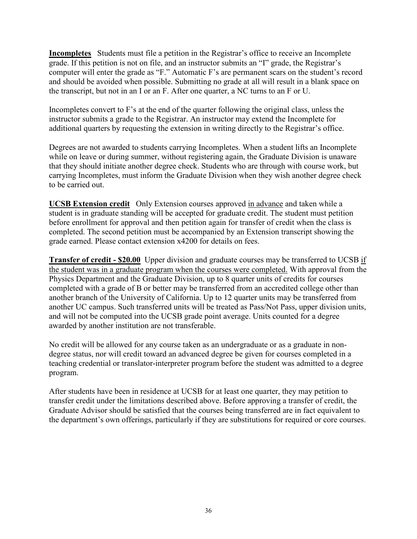**Incompletes** Students must file a petition in the Registrar's office to receive an Incomplete grade. If this petition is not on file, and an instructor submits an "I" grade, the Registrar's computer will enter the grade as "F." Automatic F's are permanent scars on the student's record and should be avoided when possible. Submitting no grade at all will result in a blank space on the transcript, but not in an I or an F. After one quarter, a NC turns to an F or U.

Incompletes convert to F's at the end of the quarter following the original class, unless the instructor submits a grade to the Registrar. An instructor may extend the Incomplete for additional quarters by requesting the extension in writing directly to the Registrar's office.

Degrees are not awarded to students carrying Incompletes. When a student lifts an Incomplete while on leave or during summer, without registering again, the Graduate Division is unaware that they should initiate another degree check. Students who are through with course work, but carrying Incompletes, must inform the Graduate Division when they wish another degree check to be carried out.

**UCSB Extension credit** Only Extension courses approved in advance and taken while a student is in graduate standing will be accepted for graduate credit. The student must petition before enrollment for approval and then petition again for transfer of credit when the class is completed. The second petition must be accompanied by an Extension transcript showing the grade earned. Please contact extension x4200 for details on fees.

**Transfer of credit - \$20.00** Upper division and graduate courses may be transferred to UCSB if the student was in a graduate program when the courses were completed. With approval from the Physics Department and the Graduate Division, up to 8 quarter units of credits for courses completed with a grade of B or better may be transferred from an accredited college other than another branch of the University of California. Up to 12 quarter units may be transferred from another UC campus. Such transferred units will be treated as Pass/Not Pass, upper division units, and will not be computed into the UCSB grade point average. Units counted for a degree awarded by another institution are not transferable.

No credit will be allowed for any course taken as an undergraduate or as a graduate in nondegree status, nor will credit toward an advanced degree be given for courses completed in a teaching credential or translator-interpreter program before the student was admitted to a degree program.

After students have been in residence at UCSB for at least one quarter, they may petition to transfer credit under the limitations described above. Before approving a transfer of credit, the Graduate Advisor should be satisfied that the courses being transferred are in fact equivalent to the department's own offerings, particularly if they are substitutions for required or core courses.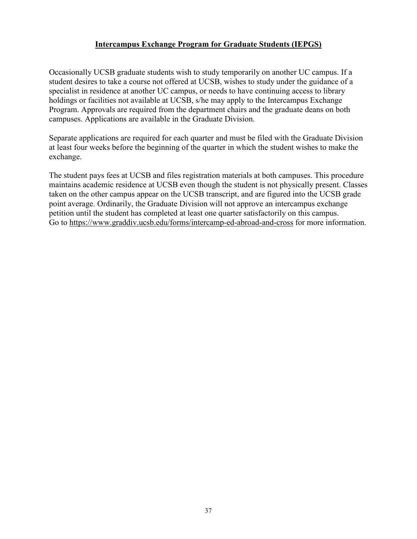#### **Intercampus Exchange Program for Graduate Students (IEPGS)**

Occasionally UCSB graduate students wish to study temporarily on another UC campus. If a student desires to take a course not offered at UCSB, wishes to study under the guidance of a specialist in residence at another UC campus, or needs to have continuing access to library holdings or facilities not available at UCSB, s/he may apply to the Intercampus Exchange Program. Approvals are required from the department chairs and the graduate deans on both campuses. Applications are available in the Graduate Division.

Separate applications are required for each quarter and must be filed with the Graduate Division at least four weeks before the beginning of the quarter in which the student wishes to make the exchange.

The student pays fees at UCSB and files registration materials at both campuses. This procedure maintains academic residence at UCSB even though the student is not physically present. Classes taken on the other campus appear on the UCSB transcript, and are figured into the UCSB grade point average. Ordinarily, the Graduate Division will not approve an intercampus exchange petition until the student has completed at least one quarter satisfactorily on this campus. Go to <https://www.graddiv.ucsb.edu/forms/intercamp-ed-abroad-and-cross> for more information.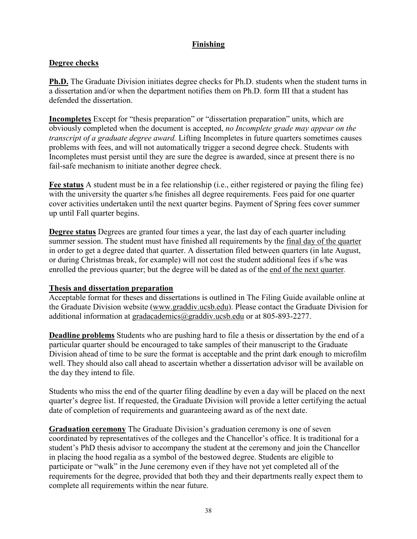#### **Finishing**

#### **Degree checks**

**Ph.D.** The Graduate Division initiates degree checks for Ph.D. students when the student turns in a dissertation and/or when the department notifies them on Ph.D. form III that a student has defended the dissertation.

**Incompletes** Except for "thesis preparation" or "dissertation preparation" units, which are obviously completed when the document is accepted, *no Incomplete grade may appear on the transcript of a graduate degree award.* Lifting Incompletes in future quarters sometimes causes problems with fees, and will not automatically trigger a second degree check. Students with Incompletes must persist until they are sure the degree is awarded, since at present there is no fail-safe mechanism to initiate another degree check.

**Fee status** A student must be in a fee relationship (i.e., either registered or paying the filing fee) with the university the quarter s/he finishes all degree requirements. Fees paid for one quarter cover activities undertaken until the next quarter begins. Payment of Spring fees cover summer up until Fall quarter begins.

**Degree status** Degrees are granted four times a year, the last day of each quarter including summer session. The student must have finished all requirements by the final day of the quarter in order to get a degree dated that quarter. A dissertation filed between quarters (in late August, or during Christmas break, for example) will not cost the student additional fees if s/he was enrolled the previous quarter; but the degree will be dated as of the end of the next quarter*.*

#### **Thesis and dissertation preparation**

Acceptable format for theses and dissertations is outlined in The Filing Guide available online at the Graduate Division website [\(www.graddiv.ucsb.edu\)](http://www.graddiv.ucsb.edu/). Please contact the Graduate Division for additional information at [gradacademics@graddiv.ucsb.edu](mailto:gradacademics@graddiv.ucsb.edu) or at 805-893-2277.

**Deadline problems** Students who are pushing hard to file a thesis or dissertation by the end of a particular quarter should be encouraged to take samples of their manuscript to the Graduate Division ahead of time to be sure the format is acceptable and the print dark enough to microfilm well. They should also call ahead to ascertain whether a dissertation advisor will be available on the day they intend to file.

Students who miss the end of the quarter filing deadline by even a day will be placed on the next quarter's degree list. If requested, the Graduate Division will provide a letter certifying the actual date of completion of requirements and guaranteeing award as of the next date.

**Graduation ceremony** The Graduate Division's graduation ceremony is one of seven coordinated by representatives of the colleges and the Chancellor's office. It is traditional for a student's PhD thesis advisor to accompany the student at the ceremony and join the Chancellor in placing the hood regalia as a symbol of the bestowed degree. Students are eligible to participate or "walk" in the June ceremony even if they have not yet completed all of the requirements for the degree, provided that both they and their departments really expect them to complete all requirements within the near future.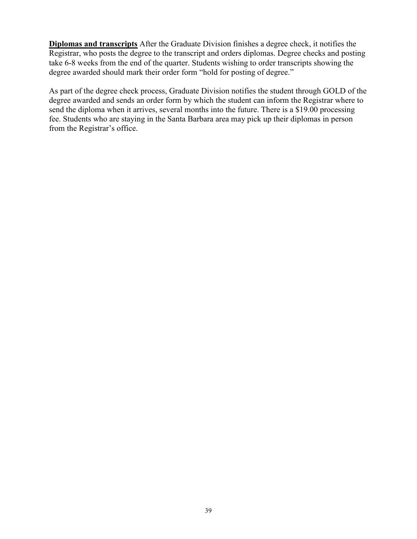**Diplomas and transcripts** After the Graduate Division finishes a degree check, it notifies the Registrar, who posts the degree to the transcript and orders diplomas. Degree checks and posting take 6-8 weeks from the end of the quarter. Students wishing to order transcripts showing the degree awarded should mark their order form "hold for posting of degree."

As part of the degree check process, Graduate Division notifies the student through GOLD of the degree awarded and sends an order form by which the student can inform the Registrar where to send the diploma when it arrives, several months into the future. There is a \$19.00 processing fee. Students who are staying in the Santa Barbara area may pick up their diplomas in person from the Registrar's office.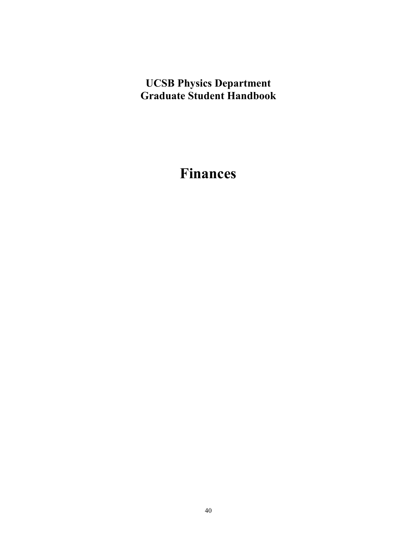## **UCSB Physics Department Graduate Student Handbook**

## **Finances**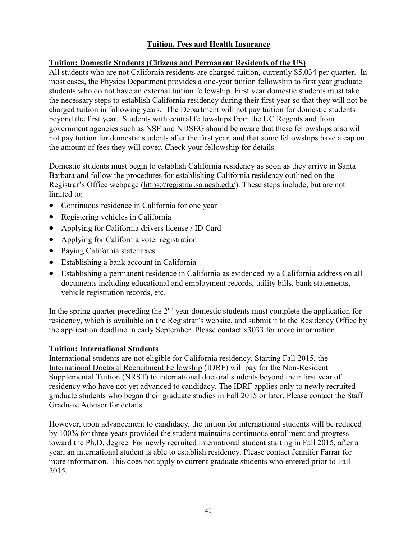#### **Tuition, Fees and Health Insurance**

#### **Tuition: Domestic Students (Citizens and Permanent Residents of the US)**

All students who are not California residents are charged tuition, currently \$5,034 per quarter. In most cases, the Physics Department provides a one-year tuition fellowship to first year graduate students who do not have an external tuition fellowship. First year domestic students must take the necessary steps to establish California residency during their first year so that they will not be charged tuition in following years. The Department will not pay tuition for domestic students beyond the first year. Students with central fellowships from the UC Regents and from government agencies such as NSF and NDSEG should be aware that these fellowships also will not pay tuition for domestic students after the first year, and that some fellowships have a cap on the amount of fees they will cover. Check your fellowship for details.

Domestic students must begin to establish California residency as soon as they arrive in Santa Barbara and follow the procedures for establishing California residency outlined on the Registrar's Office webpage [\(https://registrar.sa.ucsb.edu/\)](https://registrar.sa.ucsb.edu/). These steps include, but are not limited to:

- Continuous residence in California for one year
- Registering vehicles in California
- Applying for California drivers license / ID Card
- Applying for California voter registration
- Paying California state taxes
- Establishing a bank account in California
- Establishing a permanent residence in California as evidenced by a California address on all documents including educational and employment records, utility bills, bank statements, vehicle registration records, etc.

In the spring quarter preceding the  $2<sup>nd</sup>$  year domestic students must complete the application for residency, which is available on the Registrar's website, and submit it to the Residency Office by the application deadline in early September. Please contact x3033 for more information.

#### **Tuition: International Students**

International students are not eligible for California residency. Starting Fall 2015, the [International Doctoral Recruitment Fellowship](https://www.graddiv.ucsb.edu/financial/central-campus-fellowships/the-international-d-octoral-recruitment-fellowship-(idrf)) (IDRF) will pay for the Non-Resident Supplemental Tuition (NRST) to international doctoral students beyond their first year of residency who have not yet advanced to candidacy. The IDRF applies only to newly recruited graduate students who began their graduate studies in Fall 2015 or later. Please contact the Staff Graduate Advisor for details.

However, upon advancement to candidacy, the tuition for international students will be reduced by 100% for three years provided the student maintains continuous enrollment and progress toward the Ph.D. degree. For newly recruited international student starting in Fall 2015, after a year, an international student is able to establish residency. Please contact Jennifer Farrar for more information. This does not apply to current graduate students who entered prior to Fall 2015.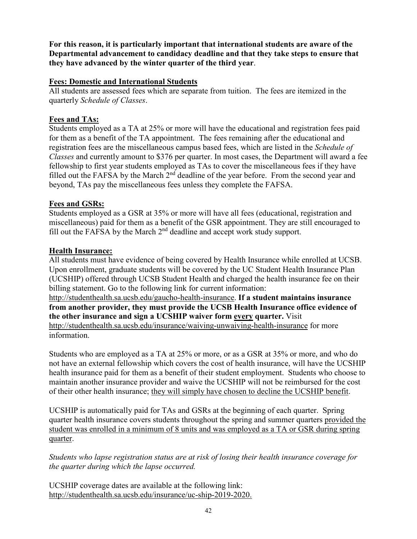**For this reason, it is particularly important that international students are aware of the Departmental advancement to candidacy deadline and that they take steps to ensure that they have advanced by the winter quarter of the third year**.

#### **Fees: Domestic and International Students**

All students are assessed fees which are separate from tuition. The fees are itemized in the quarterly *Schedule of Classes*.

#### **Fees and TAs:**

Students employed as a TA at 25% or more will have the educational and registration fees paid for them as a benefit of the TA appointment. The fees remaining after the educational and registration fees are the miscellaneous campus based fees, which are listed in the *Schedule of Classes* and currently amount to \$376 per quarter. In most cases, the Department will award a fee fellowship to first year students employed as TAs to cover the miscellaneous fees if they have filled out the FAFSA by the March  $2<sup>nd</sup>$  deadline of the year before. From the second year and beyond, TAs pay the miscellaneous fees unless they complete the FAFSA.

#### **Fees and GSRs:**

Students employed as a GSR at 35% or more will have all fees (educational, registration and miscellaneous) paid for them as a benefit of the GSR appointment. They are still encouraged to fill out the FAFSA by the March 2<sup>nd</sup> deadline and accept work study support.

#### **Health Insurance:**

All students must have evidence of being covered by Health Insurance while enrolled at UCSB. Upon enrollment, graduate students will be covered by the UC Student Health Insurance Plan (UCSHIP) offered through UCSB Student Health and charged the health insurance fee on their billing statement. Go to the following link for current information:

[http://studenthealth.sa.ucsb.edu/gaucho-health-insurance.](http://studenthealth.sa.ucsb.edu/gaucho-health-insurance) **If a student maintains insurance from another provider, they must provide the UCSB Health Insurance office evidence of the other insurance and sign a UCSHIP waiver form every quarter.** Visit <http://studenthealth.sa.ucsb.edu/insurance/waiving-unwaiving-health-insurance> for more information.

Students who are employed as a TA at 25% or more, or as a GSR at 35% or more, and who do not have an external fellowship which covers the cost of health insurance, will have the UCSHIP health insurance paid for them as a benefit of their student employment. Students who choose to maintain another insurance provider and waive the UCSHIP will not be reimbursed for the cost of their other health insurance; they will simply have chosen to decline the UCSHIP benefit.

UCSHIP is automatically paid for TAs and GSRs at the beginning of each quarter. Spring quarter health insurance covers students throughout the spring and summer quarters provided the student was enrolled in a minimum of 8 units and was employed as a TA or GSR during spring quarter.

*Students who lapse registration status are at risk of losing their health insurance coverage for the quarter during which the lapse occurred.* 

UCSHIP coverage dates are available at the following link: [http://studenthealth.sa.ucsb.edu/insurance/uc-ship-2019-2020.](http://studenthealth.sa.ucsb.edu/insurance/uc-ship-2019-2020)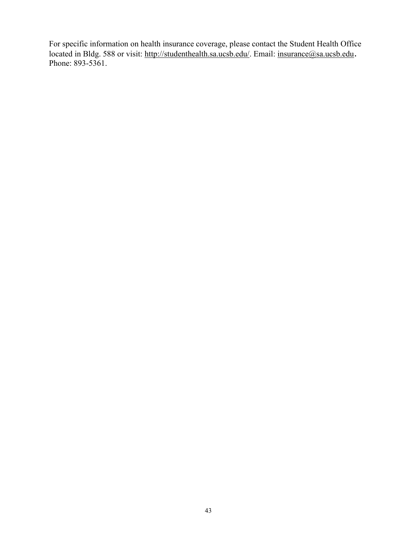For specific information on health insurance coverage, please contact the Student Health Office located in Bldg. 588 or visit: [http://studenthealth.sa.ucsb.edu/.](http://studenthealth.sa.ucsb.edu/) Email: [insurance@sa.ucsb.edu](mailto:insurance@sa.ucsb.edu). Phone: 893-5361.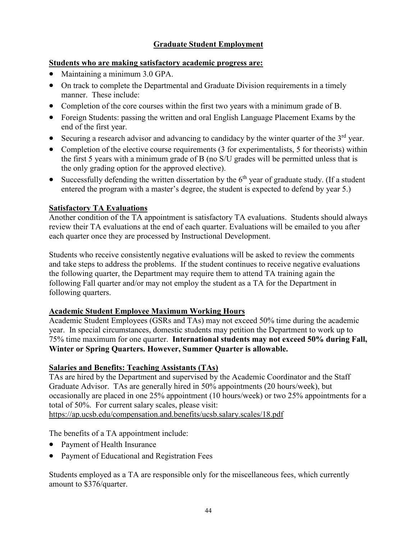#### **Graduate Student Employment**

#### **Students who are making satisfactory academic progress are:**

- Maintaining a minimum 3.0 GPA.
- On track to complete the Departmental and Graduate Division requirements in a timely manner. These include:
- Completion of the core courses within the first two years with a minimum grade of B.
- Foreign Students: passing the written and oral English Language Placement Exams by the end of the first year.
- Securing a research advisor and advancing to candidacy by the winter quarter of the  $3<sup>rd</sup>$  year.
- Completion of the elective course requirements (3 for experimentalists, 5 for theorists) within the first 5 years with a minimum grade of B (no S/U grades will be permitted unless that is the only grading option for the approved elective).
- Successfully defending the written dissertation by the  $6<sup>th</sup>$  year of graduate study. (If a student entered the program with a master's degree, the student is expected to defend by year 5.)

#### **Satisfactory TA Evaluations**

Another condition of the TA appointment is satisfactory TA evaluations. Students should always review their TA evaluations at the end of each quarter. Evaluations will be emailed to you after each quarter once they are processed by Instructional Development.

Students who receive consistently negative evaluations will be asked to review the comments and take steps to address the problems. If the student continues to receive negative evaluations the following quarter, the Department may require them to attend TA training again the following Fall quarter and/or may not employ the student as a TA for the Department in following quarters.

#### **Academic Student Employee Maximum Working Hours**

Academic Student Employees (GSRs and TAs) may not exceed 50% time during the academic year. In special circumstances, domestic students may petition the Department to work up to 75% time maximum for one quarter. **International students may not exceed 50% during Fall, Winter or Spring Quarters. However, Summer Quarter is allowable.** 

#### **Salaries and Benefits: Teaching Assistants (TAs)**

TAs are hired by the Department and supervised by the Academic Coordinator and the Staff Graduate Advisor. TAs are generally hired in 50% appointments (20 hours/week), but occasionally are placed in one 25% appointment (10 hours/week) or two 25% appointments for a total of 50%. For current salary scales, please visit:

<https://ap.ucsb.edu/compensation.and.benefits/ucsb.salary.scales/18.pdf>

The benefits of a TA appointment include:

- Payment of Health Insurance
- Payment of Educational and Registration Fees

Students employed as a TA are responsible only for the miscellaneous fees, which currently amount to \$376/quarter.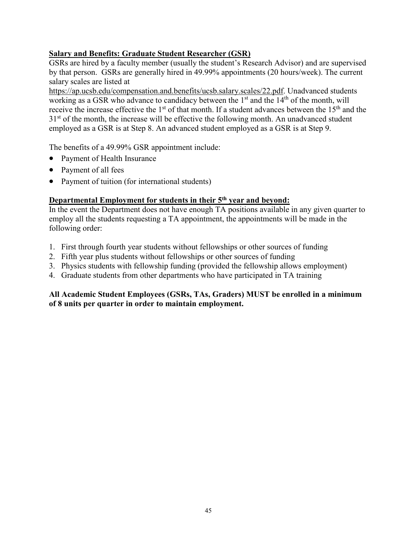#### **Salary and Benefits: Graduate Student Researcher (GSR)**

GSRs are hired by a faculty member (usually the student's Research Advisor) and are supervised by that person. GSRs are generally hired in 49.99% appointments (20 hours/week). The current salary scales are listed at

[https://ap.ucsb.edu/compensation.and.benefits/ucsb.salary.scales/22.pdf.](https://ap.ucsb.edu/compensation.and.benefits/ucsb.salary.scales/22.pdf) Unadvanced students working as a GSR who advance to candidacy between the 1<sup>st</sup> and the 14<sup>th</sup> of the month, will receive the increase effective the 1<sup>st</sup> of that month. If a student advances between the 15<sup>th</sup> and the  $31<sup>st</sup>$  of the month, the increase will be effective the following month. An unadvanced student employed as a GSR is at Step 8. An advanced student employed as a GSR is at Step 9.

The benefits of a 49.99% GSR appointment include:

- Payment of Health Insurance
- Payment of all fees
- Payment of tuition (for international students)

#### **Departmental Employment for students in their 5th year and beyond:**

In the event the Department does not have enough TA positions available in any given quarter to employ all the students requesting a TA appointment, the appointments will be made in the following order:

- 1. First through fourth year students without fellowships or other sources of funding
- 2. Fifth year plus students without fellowships or other sources of funding
- 3. Physics students with fellowship funding (provided the fellowship allows employment)
- 4. Graduate students from other departments who have participated in TA training

#### **All Academic Student Employees (GSRs, TAs, Graders) MUST be enrolled in a minimum of 8 units per quarter in order to maintain employment.**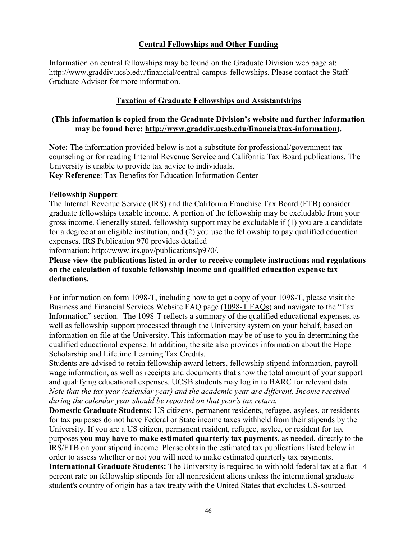#### **Central Fellowships and Other Funding**

Information on central fellowships may be found on the Graduate Division web page at: [http://www.graddiv.ucsb.edu/financial/central-campus-fellowships.](http://www.graddiv.ucsb.edu/financial/central-campus-fellowships) Please contact the Staff Graduate Advisor for more information.

#### **Taxation of Graduate Fellowships and Assistantships**

#### **(This information is copied from the Graduate Division's website and further information may be found here: [http://www.graddiv.ucsb.edu/financial/tax-information\)](http://www.graddiv.ucsb.edu/financial/tax-information).**

**Note:** The information provided below is not a substitute for professional/government tax counseling or for reading Internal Revenue Service and California Tax Board publications. The University is unable to provide tax advice to individuals.

**Key Reference**: [Tax Benefits for Education Information Center](http://www.irs.gov/uac/Tax-Benefits-for-Education:-Information-Center)

#### **Fellowship Support**

The Internal Revenue Service (IRS) and the California Franchise Tax Board (FTB) consider graduate fellowships taxable income. A portion of the fellowship may be excludable from your gross income. Generally stated, fellowship support may be excludable if (1) you are a candidate for a degree at an eligible institution, and (2) you use the fellowship to pay qualified education expenses. IRS Publication 970 provides detailed

information: [http://www.irs.gov/publications/p970/.](https://www.irs.gov/uac/about-publication-970?_ga=1.137891888.1056183260.1477068473)

**Please view the publications listed in order to receive complete instructions and regulations on the calculation of taxable fellowship income and qualified education expense tax deductions.**

For information on form 1098-T, including how to get a copy of your 1098-T, please visit the Business and Financial Services Website FAQ page [\(1098-T FAQs\)](http://www.bfs.ucsb.edu/barc/faqs) and navigate to the "Tax Information" section. The 1098-T reflects a summary of the qualified educational expenses, as well as fellowship support processed through the University system on your behalf, based on information on file at the University. This information may be of use to you in determining the qualified educational expense. In addition, the site also provides information about the Hope Scholarship and Lifetime Learning Tax Credits.

Students are advised to retain fellowship award letters, fellowship stipend information, payroll wage information, as well as receipts and documents that show the total amount of your support and qualifying educational expenses. UCSB students may [log in to BARC](https://mybarc.ucsb.edu/) for relevant data. *Note that the tax year (calendar year) and the academic year are different. Income received during the calendar year should be reported on that year's tax return.*

**Domestic Graduate Students:** US citizens, permanent residents, refugee, asylees, or residents for tax purposes do not have Federal or State income taxes withheld from their stipends by the University. If you are a US citizen, permanent resident, refugee, asylee, or resident for tax purposes **you may have to make estimated quarterly tax payments**, as needed, directly to the IRS/FTB on your stipend income. Please obtain the estimated tax publications listed below in order to assess whether or not you will need to make estimated quarterly tax payments. **International Graduate Students:** The University is required to withhold federal tax at a flat 14 percent rate on fellowship stipends for all nonresident aliens unless the international graduate student's country of origin has a tax treaty with the United States that excludes US-sourced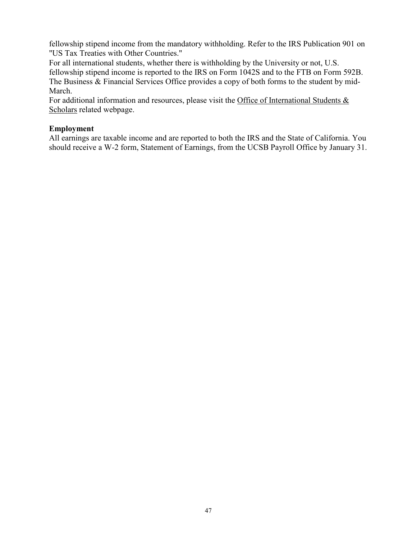fellowship stipend income from the mandatory withholding. Refer to the IRS Publication 901 on "US Tax Treaties with Other Countries."

For all international students, whether there is withholding by the University or not, U.S. fellowship stipend income is reported to the IRS on Form 1042S and to the FTB on Form 592B. The Business & Financial Services Office provides a copy of both forms to the student by mid-March.

For additional information and resources, please visit the Office of International Students & [Scholars](http://oiss.sa.ucsb.edu/life-at-ucsb/taxes) related webpage.

#### **Employment**

All earnings are taxable income and are reported to both the IRS and the State of California. You should receive a W-2 form, Statement of Earnings, from the UCSB Payroll Office by January 31.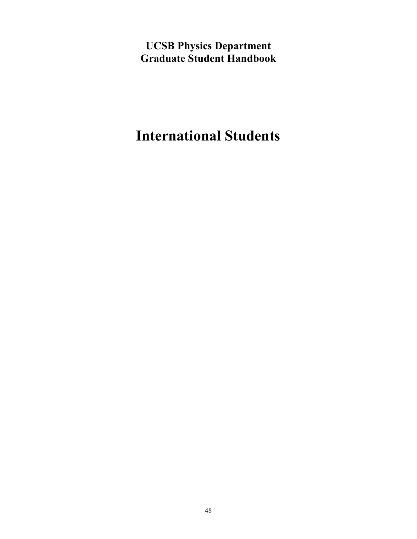**UCSB Physics Department Graduate Student Handbook**

## **International Students**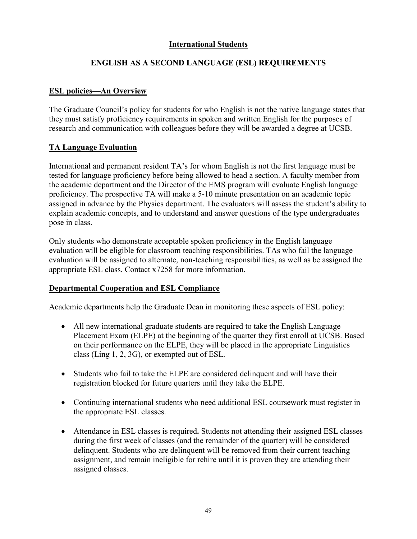#### **International Students**

#### **ENGLISH AS A SECOND LANGUAGE (ESL) REQUIREMENTS**

#### **ESL policies—An Overview**

The Graduate Council's policy for students for who English is not the native language states that they must satisfy proficiency requirements in spoken and written English for the purposes of research and communication with colleagues before they will be awarded a degree at UCSB.

#### **TA Language Evaluation**

International and permanent resident TA's for whom English is not the first language must be tested for language proficiency before being allowed to head a section. A faculty member from the academic department and the Director of the EMS program will evaluate English language proficiency. The prospective TA will make a 5-10 minute presentation on an academic topic assigned in advance by the Physics department. The evaluators will assess the student's ability to explain academic concepts, and to understand and answer questions of the type undergraduates pose in class.

Only students who demonstrate acceptable spoken proficiency in the English language evaluation will be eligible for classroom teaching responsibilities. TAs who fail the language evaluation will be assigned to alternate, non-teaching responsibilities, as well as be assigned the appropriate ESL class. Contact x7258 for more information.

#### **Departmental Cooperation and ESL Compliance**

Academic departments help the Graduate Dean in monitoring these aspects of ESL policy:

- All new international graduate students are required to take the English Language Placement Exam (ELPE) at the beginning of the quarter they first enroll at UCSB. Based on their performance on the ELPE, they will be placed in the appropriate Linguistics class (Ling 1, 2, 3G), or exempted out of ESL.
- Students who fail to take the ELPE are considered delinquent and will have their registration blocked for future quarters until they take the ELPE.
- Continuing international students who need additional ESL coursework must register in the appropriate ESL classes.
- Attendance in ESL classes is required**.** Students not attending their assigned ESL classes during the first week of classes (and the remainder of the quarter) will be considered delinquent. Students who are delinquent will be removed from their current teaching assignment, and remain ineligible for rehire until it is proven they are attending their assigned classes.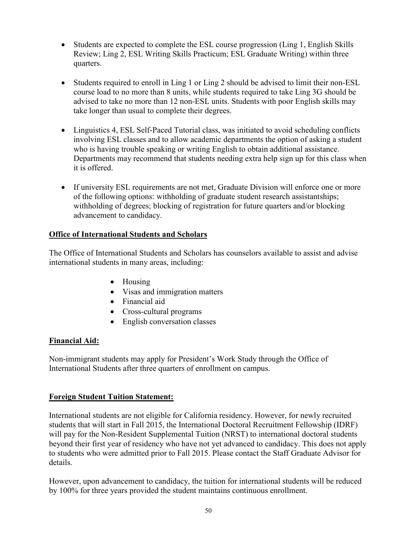- Students are expected to complete the ESL course progression (Ling 1, English Skills Review; Ling 2, ESL Writing Skills Practicum; ESL Graduate Writing) within three quarters.
- Students required to enroll in Ling 1 or Ling 2 should be advised to limit their non-ESL course load to no more than 8 units, while students required to take Ling 3G should be advised to take no more than 12 non-ESL units. Students with poor English skills may take longer than usual to complete their degrees.
- Linguistics 4, ESL Self-Paced Tutorial class, was initiated to avoid scheduling conflicts involving ESL classes and to allow academic departments the option of asking a student who is having trouble speaking or writing English to obtain additional assistance. Departments may recommend that students needing extra help sign up for this class when it is offered.
- If university ESL requirements are not met, Graduate Division will enforce one or more of the following options: withholding of graduate student research assistantships; withholding of degrees; blocking of registration for future quarters and/or blocking advancement to candidacy.

#### **Office of International Students and Scholars**

The Office of International Students and Scholars has counselors available to assist and advise international students in many areas, including:

- Housing
- Visas and immigration matters
- Financial aid
- Cross-cultural programs
- English conversation classes

#### **Financial Aid:**

Non-immigrant students may apply for President's Work Study through the Office of International Students after three quarters of enrollment on campus.

#### **Foreign Student Tuition Statement:**

International students are not eligible for California residency. However, for newly recruited students that will start in Fall 2015, the International Doctoral Recruitment Fellowship (IDRF) will pay for the Non-Resident Supplemental Tuition (NRST) to international doctoral students beyond their first year of residency who have not yet advanced to candidacy. This does not apply to students who were admitted prior to Fall 2015. Please contact the Staff Graduate Advisor for details.

However, upon advancement to candidacy, the tuition for international students will be reduced by 100% for three years provided the student maintains continuous enrollment.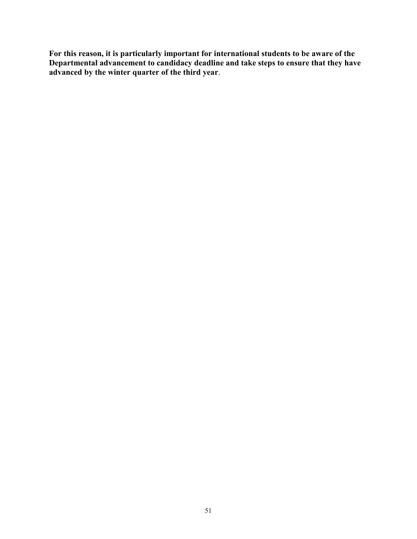**For this reason, it is particularly important for international students to be aware of the Departmental advancement to candidacy deadline and take steps to ensure that they have advanced by the winter quarter of the third year**.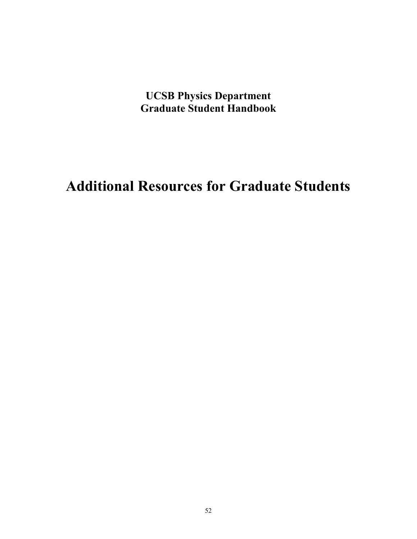**UCSB Physics Department Graduate Student Handbook**

**Additional Resources for Graduate Students**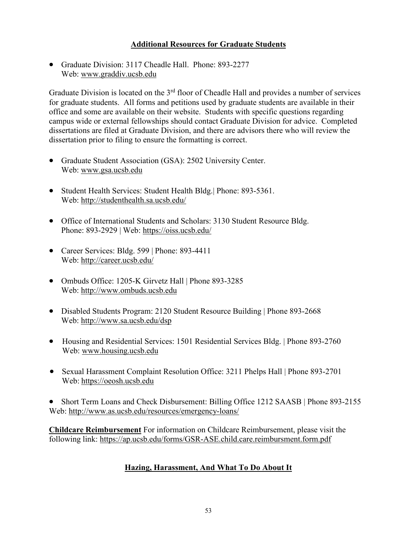#### **Additional Resources for Graduate Students**

• Graduate Division: 3117 Cheadle Hall. Phone: 893-2277 Web: [www.graddiv.ucsb.edu](http://www.graddiv.ucsb.edu/)

Graduate Division is located on the 3<sup>rd</sup> floor of Cheadle Hall and provides a number of services for graduate students. All forms and petitions used by graduate students are available in their office and some are available on their website. Students with specific questions regarding campus wide or external fellowships should contact Graduate Division for advice. Completed dissertations are filed at Graduate Division, and there are advisors there who will review the dissertation prior to filing to ensure the formatting is correct.

- Graduate Student Association (GSA): 2502 University Center. Web: [www.gsa.ucsb.edu](http://www.gsa.ucsb.edu/)
- Student Health Services: Student Health Bldg. | Phone: 893-5361. Web:<http://studenthealth.sa.ucsb.edu/>
- Office of International Students and Scholars: 3130 Student Resource Bldg. Phone: 893-2929 | Web:<https://oiss.ucsb.edu/>
- Career Services: Bldg. 599 | Phone: 893-4411 Web:<http://career.ucsb.edu/>
- Ombuds Office: 1205-K Girvetz Hall | Phone 893-3285 Web: [http://www.ombuds.ucsb.edu](http://www.ombuds.ucsb.edu/)
- Disabled Students Program: 2120 Student Resource Building | Phone 893-2668 Web:<http://www.sa.ucsb.edu/dsp>
- Housing and Residential Services: 1501 Residential Services Bldg. | Phone 893-2760 Web: [www.housing.ucsb.edu](http://www.housing.ucsb.edu/)
- Sexual Harassment Complaint Resolution Office: 3211 Phelps Hall | Phone 893-2701 Web: [https://oeosh.ucsb.edu](https://oeosh.ucsb.edu/)

• Short Term Loans and Check Disbursement: Billing Office 1212 SAASB | Phone 893-2155 Web:<http://www.as.ucsb.edu/resources/emergency-loans/>

**Childcare Reimbursement** For information on Childcare Reimbursement, please visit the following link:<https://ap.ucsb.edu/forms/GSR-ASE.child.care.reimbursment.form.pdf>

#### **Hazing, Harassment, And What To Do About It**